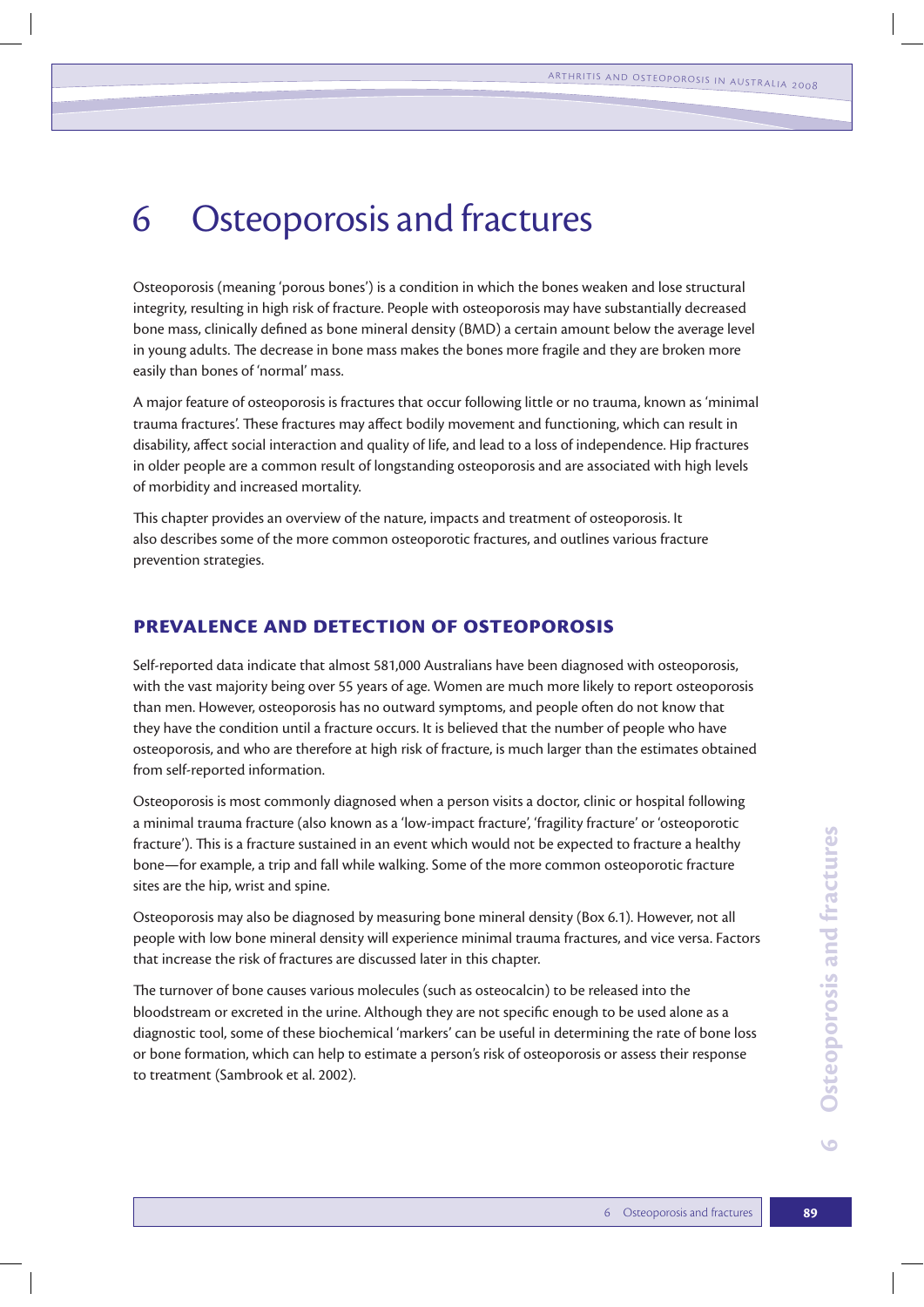# 6 Osteoporosis and fractures

Osteoporosis (meaning 'porous bones') is a condition in which the bones weaken and lose structural integrity, resulting in high risk of fracture. People with osteoporosis may have substantially decreased bone mass, clinically defined as bone mineral density (BMD) a certain amount below the average level in young adults. The decrease in bone mass makes the bones more fragile and they are broken more easily than bones of 'normal' mass.

A major feature of osteoporosis is fractures that occur following little or no trauma, known as 'minimal trauma fractures'. These fractures may affect bodily movement and functioning, which can result in disability, affect social interaction and quality of life, and lead to a loss of independence. Hip fractures in older people are a common result of longstanding osteoporosis and are associated with high levels of morbidity and increased mortality.

This chapter provides an overview of the nature, impacts and treatment of osteoporosis. It also describes some of the more common osteoporotic fractures, and outlines various fracture prevention strategies.

#### **Prevalence and detection of osteoporosis**

Self-reported data indicate that almost 581,000 Australians have been diagnosed with osteoporosis, with the vast majority being over 55 years of age. Women are much more likely to report osteoporosis than men. However, osteoporosis has no outward symptoms, and people often do not know that they have the condition until a fracture occurs. It is believed that the number of people who have osteoporosis, and who are therefore at high risk of fracture, is much larger than the estimates obtained from self-reported information.

Osteoporosis is most commonly diagnosed when a person visits a doctor, clinic or hospital following a minimal trauma fracture (also known as a 'low-impact fracture', 'fragility fracture' or 'osteoporotic fracture'). This is a fracture sustained in an event which would not be expected to fracture a healthy bone—for example, a trip and fall while walking. Some of the more common osteoporotic fracture sites are the hip, wrist and spine.

Osteoporosis may also be diagnosed by measuring bone mineral density (Box 6.1). However, not all people with low bone mineral density will experience minimal trauma fractures, and vice versa. Factors that increase the risk of fractures are discussed later in this chapter.

The turnover of bone causes various molecules (such as osteocalcin) to be released into the bloodstream or excreted in the urine. Although they are not specific enough to be used alone as a diagnostic tool, some of these biochemical 'markers' can be useful in determining the rate of bone loss or bone formation, which can help to estimate a person's risk of osteoporosis or assess their response to treatment (Sambrook et al. 2002).

 $\bullet$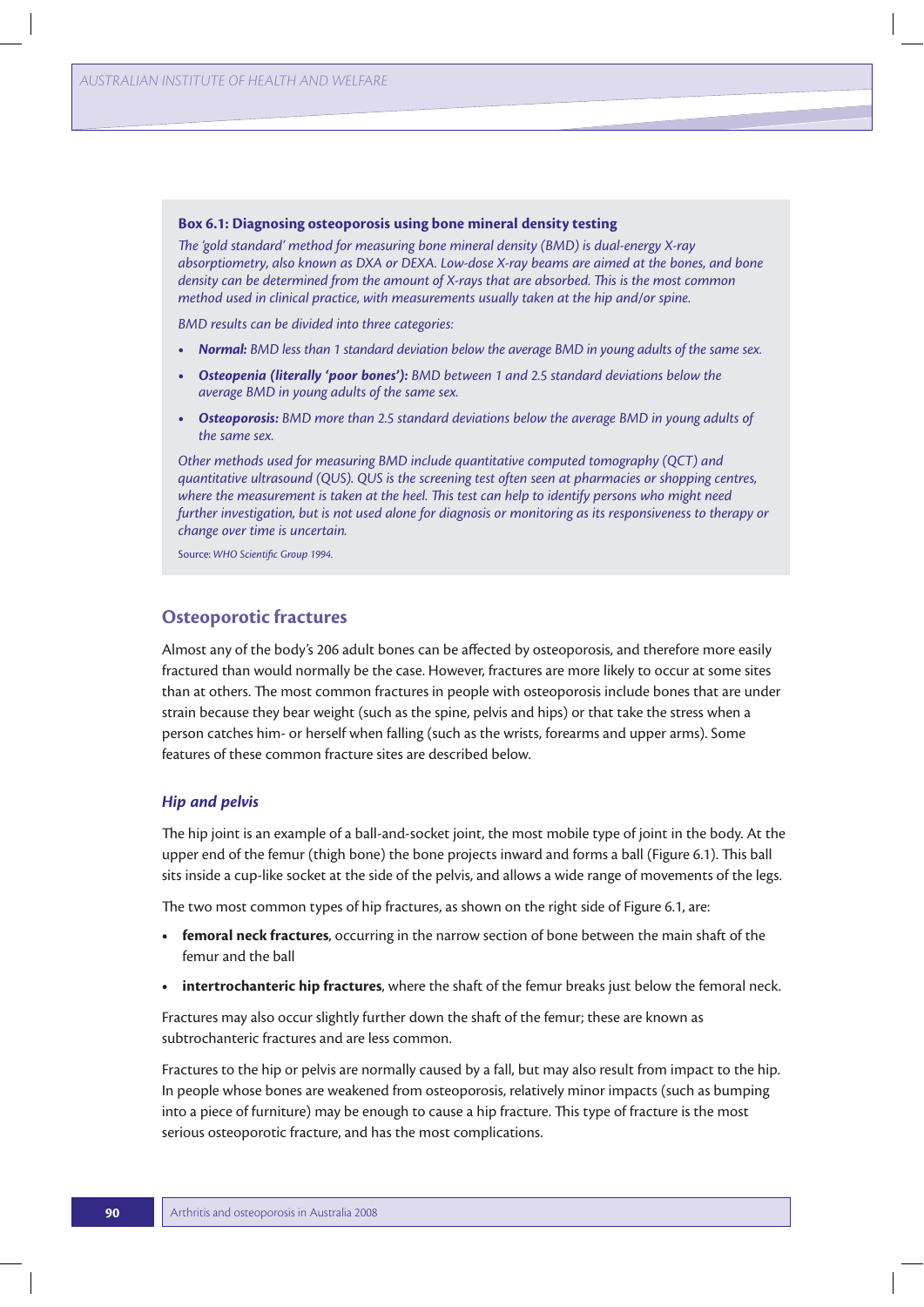#### **Box 6.1: Diagnosing osteoporosis using bone mineral density testing**

*The 'gold standard' method for measuring bone mineral density (BMD) is dual-energy X-ray absorptiometry, also known as DXA or DEXA. Low-dose X-ray beams are aimed at the bones, and bone density can be determined from the amount of X-rays that are absorbed. This is the most common method used in clinical practice, with measurements usually taken at the hip and/or spine.*

*BMD results can be divided into three categories:*

- **t** *Normal: BMD less than 1 standard deviation below the average BMD in young adults of the same sex.*
- **t** *Osteopenia (literally 'poor bones'): BMD between 1 and 2.5 standard deviations below the average BMD in young adults of the same sex.*
- **t** *Osteoporosis: BMD more than 2.5 standard deviations below the average BMD in young adults of the same sex.*

*Other methods used for measuring BMD include quantitative computed tomography (QCT) and quantitative ultrasound (QUS). QUS is the screening test often seen at pharmacies or shopping centres, where the measurement is taken at the heel. This test can help to identify persons who might need further investigation, but is not used alone for diagnosis or monitoring as its responsiveness to therapy or change over time is uncertain.*

Source: *WHO Scientific Group 1994.*

#### **Osteoporotic fractures**

Almost any of the body's 206 adult bones can be affected by osteoporosis, and therefore more easily fractured than would normally be the case. However, fractures are more likely to occur at some sites than at others. The most common fractures in people with osteoporosis include bones that are under strain because they bear weight (such as the spine, pelvis and hips) or that take the stress when a person catches him- or herself when falling (such as the wrists, forearms and upper arms). Some features of these common fracture sites are described below.

#### *Hip and pelvis*

The hip joint is an example of a ball-and-socket joint, the most mobile type of joint in the body. At the upper end of the femur (thigh bone) the bone projects inward and forms a ball (Figure 6.1). This ball sits inside a cup-like socket at the side of the pelvis, and allows a wide range of movements of the legs.

The two most common types of hip fractures, as shown on the right side of Figure 6.1, are:

- **femoral neck fractures**, occurring in the narrow section of bone between the main shaft of the femur and the ball
- **intertrochanteric hip fractures**, where the shaft of the femur breaks just below the femoral neck.

Fractures may also occur slightly further down the shaft of the femur; these are known as subtrochanteric fractures and are less common.

Fractures to the hip or pelvis are normally caused by a fall, but may also result from impact to the hip. In people whose bones are weakened from osteoporosis, relatively minor impacts (such as bumping into a piece of furniture) may be enough to cause a hip fracture. This type of fracture is the most serious osteoporotic fracture, and has the most complications.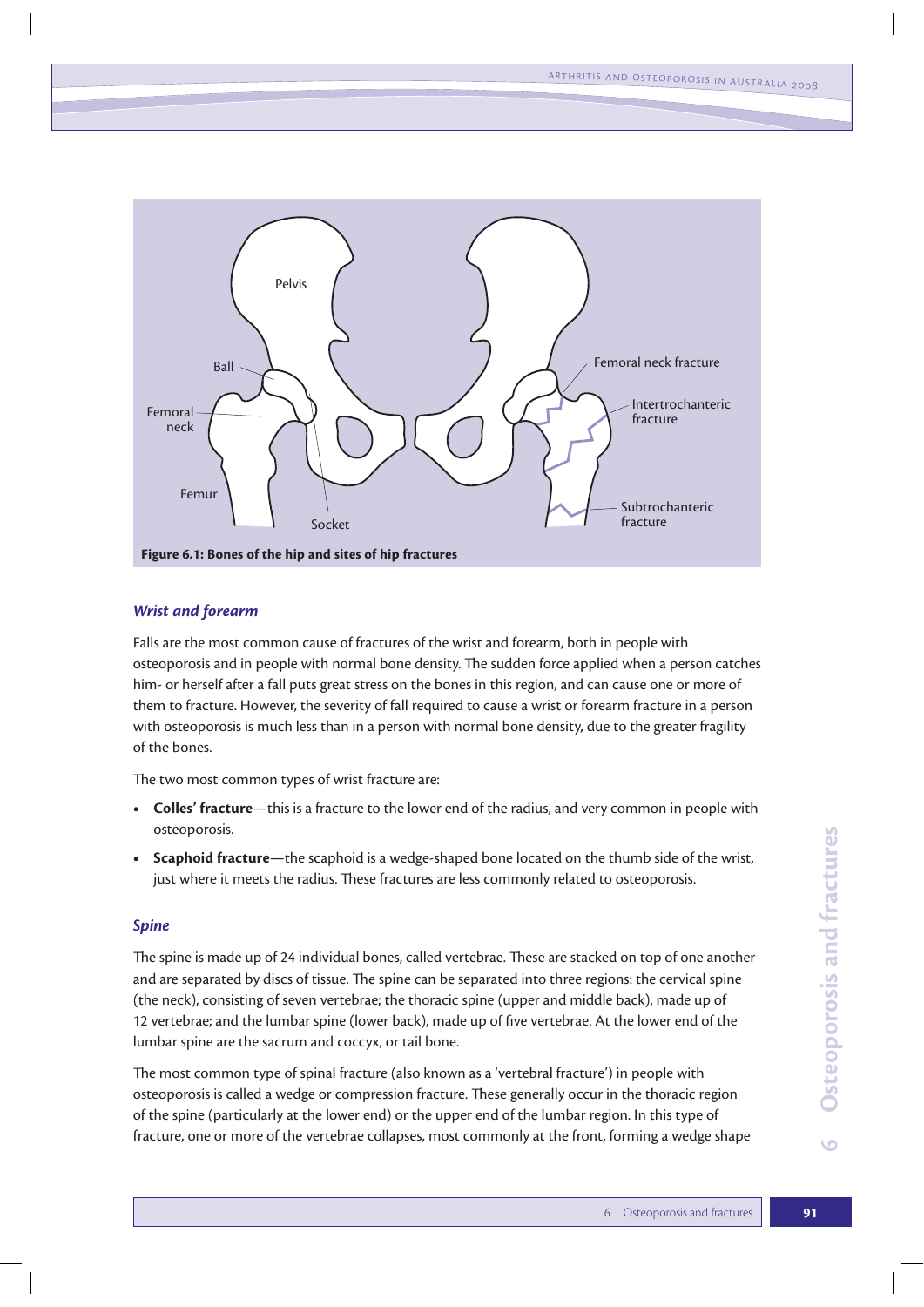

#### *Wrist and forearm*

Falls are the most common cause of fractures of the wrist and forearm, both in people with osteoporosis and in people with normal bone density. The sudden force applied when a person catches him- or herself after a fall puts great stress on the bones in this region, and can cause one or more of them to fracture. However, the severity of fall required to cause a wrist or forearm fracture in a person with osteoporosis is much less than in a person with normal bone density, due to the greater fragility of the bones.

The two most common types of wrist fracture are:

- **t Colles' fracture**—this is a fracture to the lower end of the radius, and very common in people with osteoporosis.
- **Scaphoid fracture**—the scaphoid is a wedge-shaped bone located on the thumb side of the wrist, just where it meets the radius. These fractures are less commonly related to osteoporosis.

#### *Spine*

The spine is made up of 24 individual bones, called vertebrae. These are stacked on top of one another and are separated by discs of tissue. The spine can be separated into three regions: the cervical spine (the neck), consisting of seven vertebrae; the thoracic spine (upper and middle back), made up of 12 vertebrae; and the lumbar spine (lower back), made up of five vertebrae. At the lower end of the lumbar spine are the sacrum and coccyx, or tail bone.

The most common type of spinal fracture (also known as a 'vertebral fracture') in people with osteoporosis is called a wedge or compression fracture. These generally occur in the thoracic region of the spine (particularly at the lower end) or the upper end of the lumbar region. In this type of fracture, one or more of the vertebrae collapses, most commonly at the front, forming a wedge shape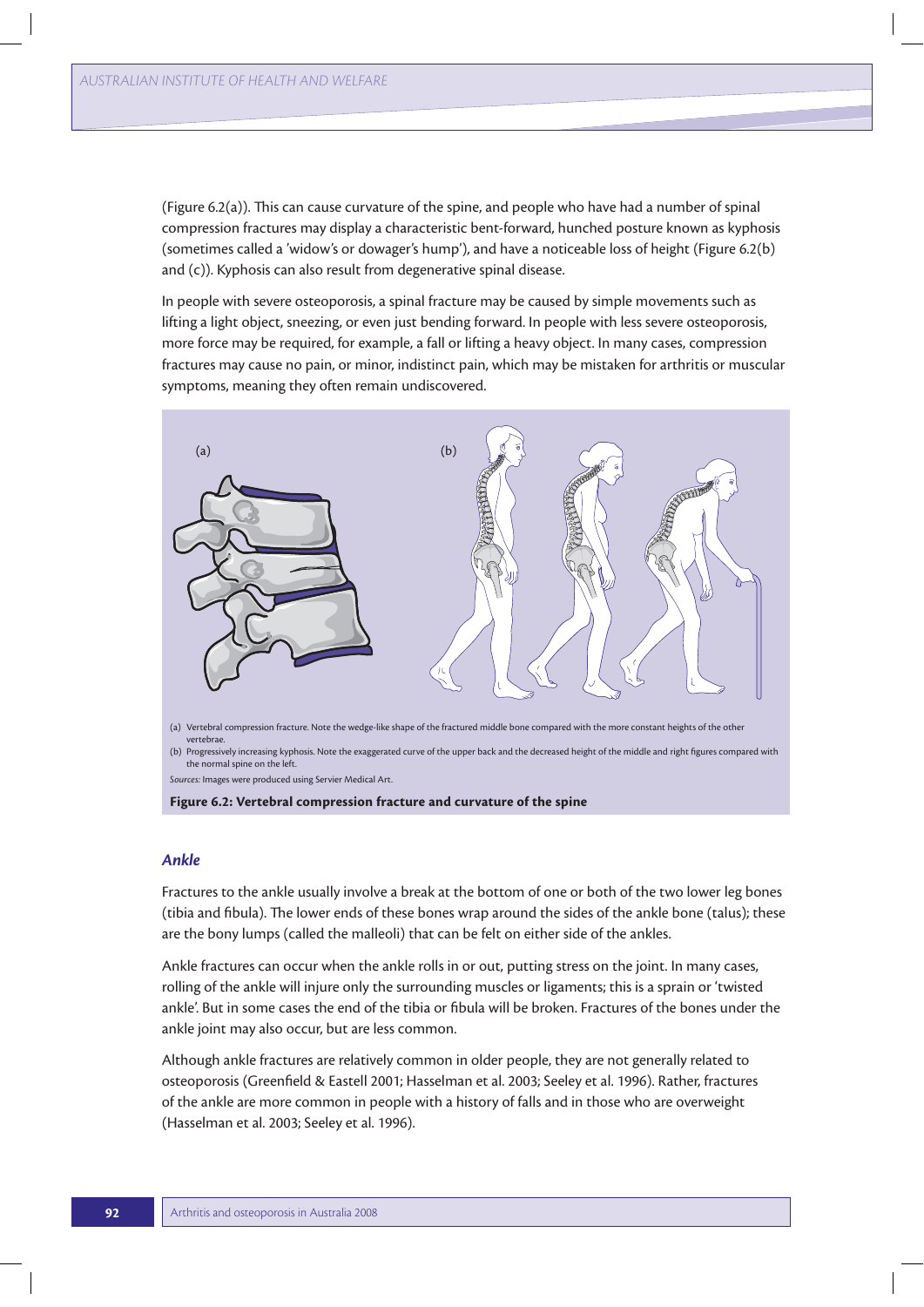(Figure 6.2(a)). This can cause curvature of the spine, and people who have had a number of spinal compression fractures may display a characteristic bent-forward, hunched posture known as kyphosis (sometimes called a 'widow's or dowager's hump'), and have a noticeable loss of height (Figure 6.2(b) and (c)). Kyphosis can also result from degenerative spinal disease.

In people with severe osteoporosis, a spinal fracture may be caused by simple movements such as lifting a light object, sneezing, or even just bending forward. In people with less severe osteoporosis, more force may be required, for example, a fall or lifting a heavy object. In many cases, compression fractures may cause no pain, or minor, indistinct pain, which may be mistaken for arthritis or muscular symptoms, meaning they often remain undiscovered.



(b) Progressively increasing kyphosis. Note the exaggerated curve of the upper back and the decreased height of the middle and right figures compared with the normal spine on the left.

*Sources:* Images were produced using Servier Medical Art.

**Figure 6.2: Vertebral compression fracture and curvature of the spine**

#### *Ankle*

Fractures to the ankle usually involve a break at the bottom of one or both of the two lower leg bones (tibia and fibula). The lower ends of these bones wrap around the sides of the ankle bone (talus); these are the bony lumps (called the malleoli) that can be felt on either side of the ankles.

Ankle fractures can occur when the ankle rolls in or out, putting stress on the joint. In many cases, rolling of the ankle will injure only the surrounding muscles or ligaments; this is a sprain or 'twisted ankle'. But in some cases the end of the tibia or fibula will be broken. Fractures of the bones under the ankle joint may also occur, but are less common.

Although ankle fractures are relatively common in older people, they are not generally related to osteoporosis (Greenfield & Eastell 2001; Hasselman et al. 2003; Seeley et al. 1996). Rather, fractures of the ankle are more common in people with a history of falls and in those who are overweight (Hasselman et al. 2003; Seeley et al. 1996).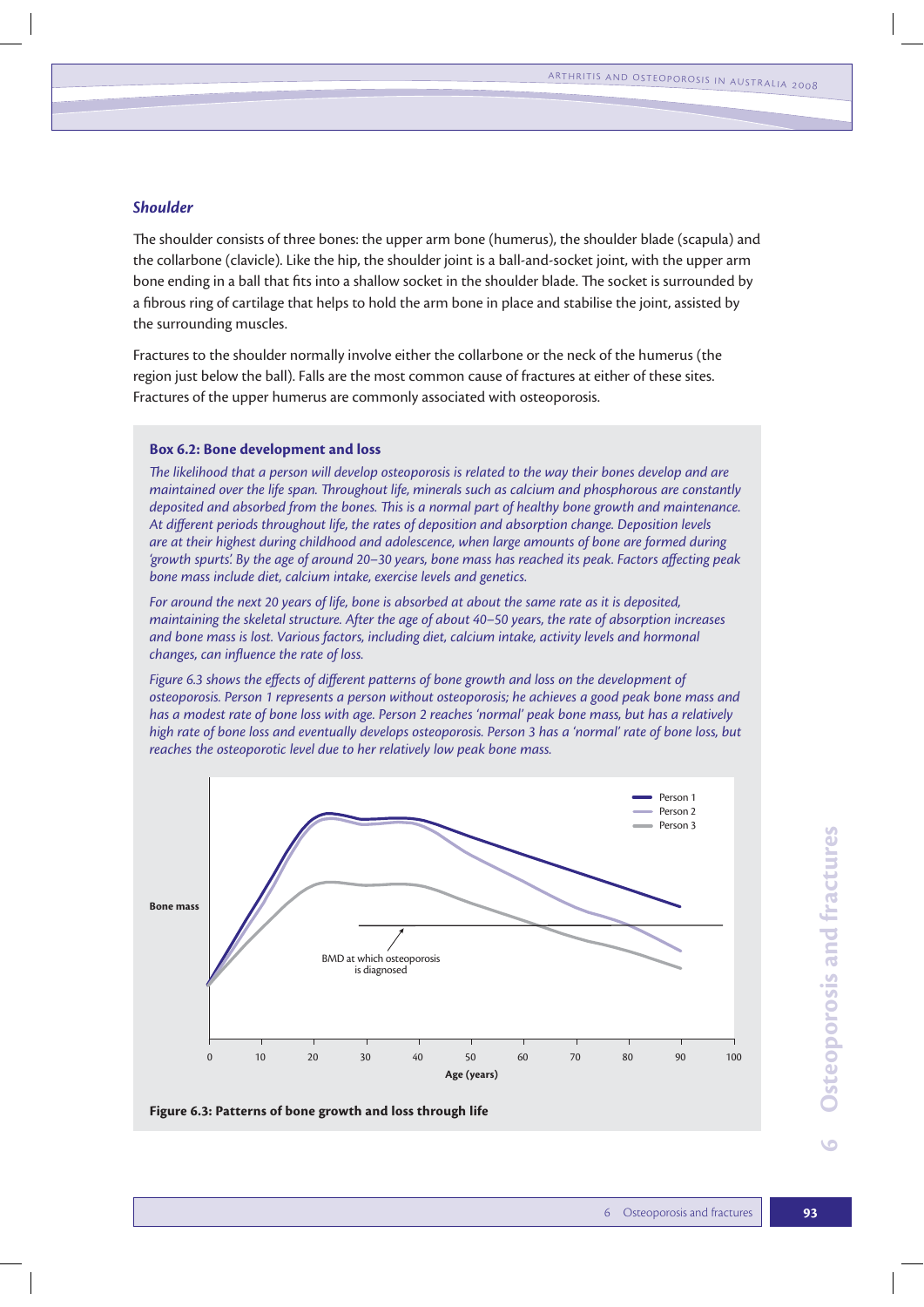#### *Shoulder*

The shoulder consists of three bones: the upper arm bone (humerus), the shoulder blade (scapula) and the collarbone (clavicle). Like the hip, the shoulder joint is a ball-and-socket joint, with the upper arm bone ending in a ball that fits into a shallow socket in the shoulder blade. The socket is surrounded by a fibrous ring of cartilage that helps to hold the arm bone in place and stabilise the joint, assisted by the surrounding muscles.

Fractures to the shoulder normally involve either the collarbone or the neck of the humerus (the region just below the ball). Falls are the most common cause of fractures at either of these sites. Fractures of the upper humerus are commonly associated with osteoporosis.

#### **Box 6.2: Bone development and loss**

*The likelihood that a person will develop osteoporosis is related to the way their bones develop and are maintained over the life span. Throughout life, minerals such as calcium and phosphorous are constantly deposited and absorbed from the bones. This is a normal part of healthy bone growth and maintenance. At different periods throughout life, the rates of deposition and absorption change. Deposition levels are at their highest during childhood and adolescence, when large amounts of bone are formed during 'growth spurts'. By the age of around 20–30 years, bone mass has reached its peak. Factors affecting peak bone mass include diet, calcium intake, exercise levels and genetics.* 

*For around the next 20 years of life, bone is absorbed at about the same rate as it is deposited, maintaining the skeletal structure. After the age of about 40–50 years, the rate of absorption increases and bone mass is lost. Various factors, including diet, calcium intake, activity levels and hormonal changes, can influence the rate of loss.* 

*Figure 6.3 shows the effects of different patterns of bone growth and loss on the development of osteoporosis. Person 1 represents a person without osteoporosis; he achieves a good peak bone mass and has a modest rate of bone loss with age. Person 2 reaches 'normal' peak bone mass, but has a relatively high rate of bone loss and eventually develops osteoporosis. Person 3 has a 'normal' rate of bone loss, but reaches the osteoporotic level due to her relatively low peak bone mass.*



**Figure 6.3: Patterns of bone growth and loss through life**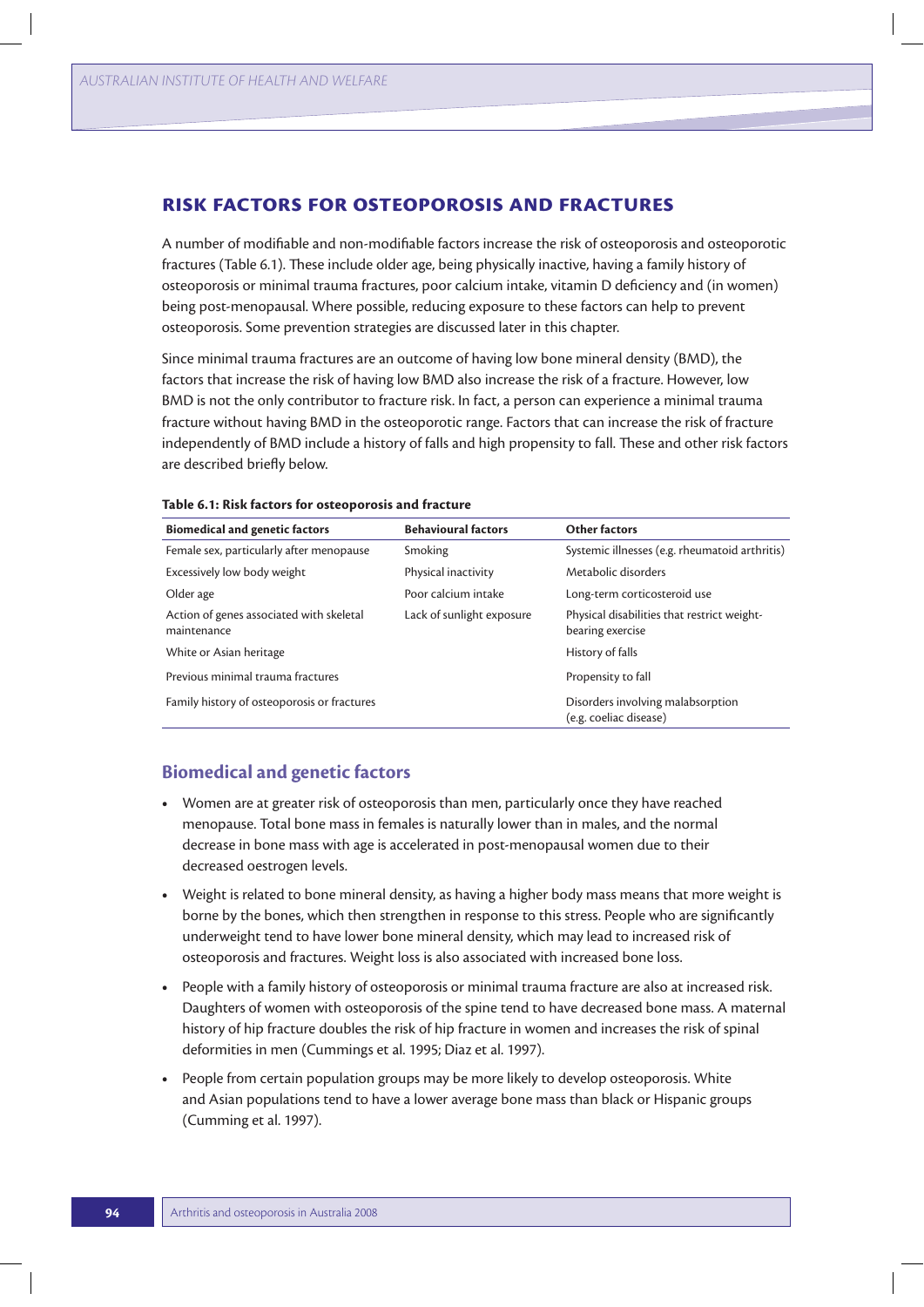### **Risk factors for osteoporosis and fractures**

A number of modifiable and non-modifiable factors increase the risk of osteoporosis and osteoporotic fractures (Table 6.1). These include older age, being physically inactive, having a family history of osteoporosis or minimal trauma fractures, poor calcium intake, vitamin D deficiency and (in women) being post-menopausal. Where possible, reducing exposure to these factors can help to prevent osteoporosis. Some prevention strategies are discussed later in this chapter.

Since minimal trauma fractures are an outcome of having low bone mineral density (BMD), the factors that increase the risk of having low BMD also increase the risk of a fracture. However, low BMD is not the only contributor to fracture risk. In fact, a person can experience a minimal trauma fracture without having BMD in the osteoporotic range. Factors that can increase the risk of fracture independently of BMD include a history of falls and high propensity to fall. These and other risk factors are described briefly below.

| <b>Biomedical and genetic factors</b>                   | <b>Behavioural factors</b> | <b>Other factors</b>                                            |
|---------------------------------------------------------|----------------------------|-----------------------------------------------------------------|
| Female sex, particularly after menopause                | Smoking                    | Systemic illnesses (e.g. rheumatoid arthritis)                  |
| Excessively low body weight                             | Physical inactivity        | Metabolic disorders                                             |
| Older age                                               | Poor calcium intake        | Long-term corticosteroid use                                    |
| Action of genes associated with skeletal<br>maintenance | Lack of sunlight exposure  | Physical disabilities that restrict weight-<br>bearing exercise |
| White or Asian heritage                                 |                            | History of falls                                                |
| Previous minimal trauma fractures                       |                            | Propensity to fall                                              |
| Family history of osteoporosis or fractures             |                            | Disorders involving malabsorption<br>(e.g. coeliac disease)     |

#### **Table 6.1: Risk factors for osteoporosis and fracture**

## **Biomedical and genetic factors**

- **t** Women are at greater risk of osteoporosis than men, particularly once they have reached menopause. Total bone mass in females is naturally lower than in males, and the normal decrease in bone mass with age is accelerated in post-menopausal women due to their decreased oestrogen levels.
- **t** Weight is related to bone mineral density, as having a higher body mass means that more weight is borne by the bones, which then strengthen in response to this stress. People who are significantly underweight tend to have lower bone mineral density, which may lead to increased risk of osteoporosis and fractures. Weight loss is also associated with increased bone loss.
- **t** People with a family history of osteoporosis or minimal trauma fracture are also at increased risk. Daughters of women with osteoporosis of the spine tend to have decreased bone mass. A maternal history of hip fracture doubles the risk of hip fracture in women and increases the risk of spinal deformities in men (Cummings et al. 1995; Diaz et al. 1997).
- **t** People from certain population groups may be more likely to develop osteoporosis. White and Asian populations tend to have a lower average bone mass than black or Hispanic groups (Cumming et al. 1997).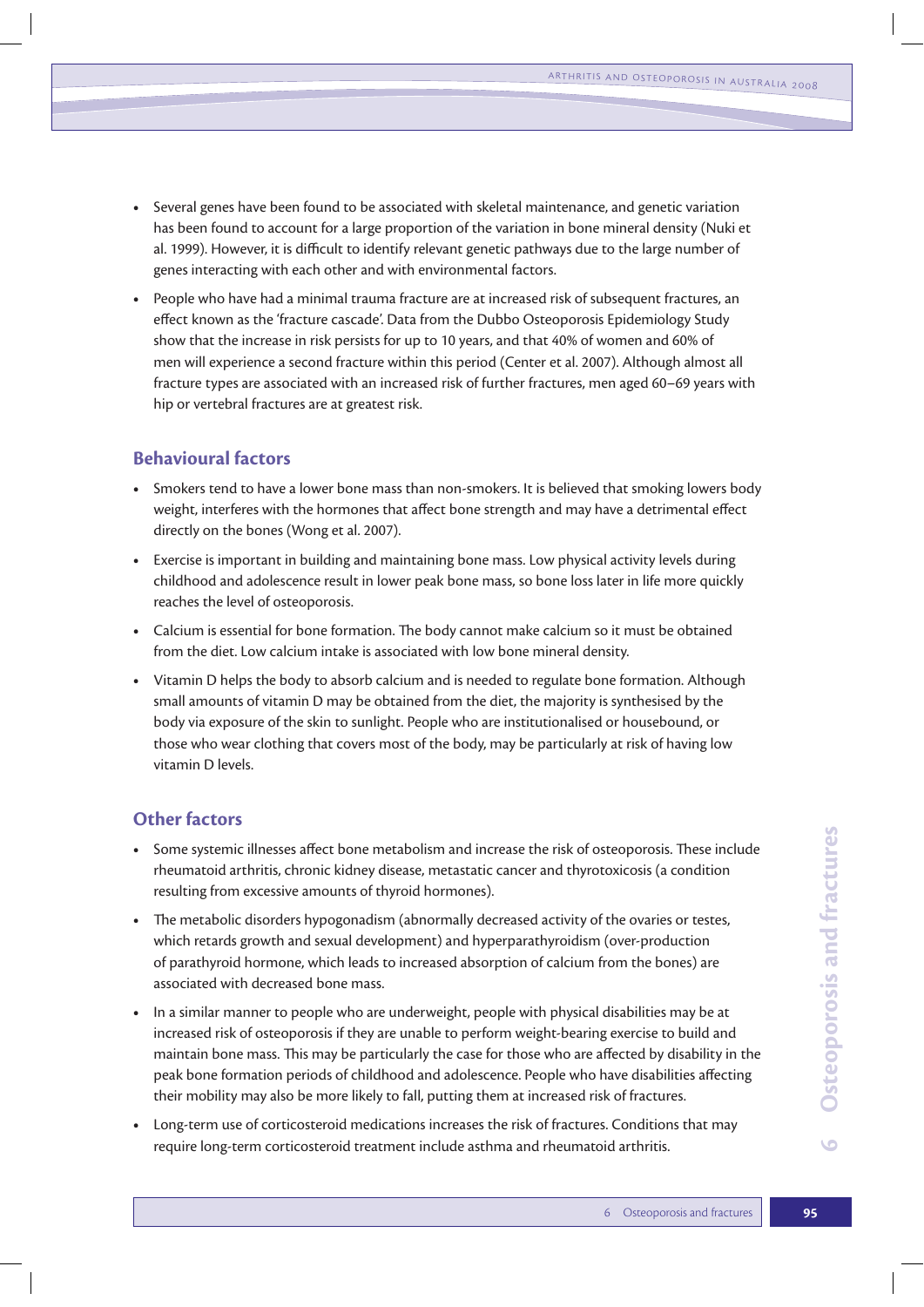- **t** Several genes have been found to be associated with skeletal maintenance, and genetic variation has been found to account for a large proportion of the variation in bone mineral density (Nuki et al. 1999). However, it is difficult to identify relevant genetic pathways due to the large number of genes interacting with each other and with environmental factors.
- **t** People who have had a minimal trauma fracture are at increased risk of subsequent fractures, an effect known as the 'fracture cascade'. Data from the Dubbo Osteoporosis Epidemiology Study show that the increase in risk persists for up to 10 years, and that 40% of women and 60% of men will experience a second fracture within this period (Center et al. 2007). Although almost all fracture types are associated with an increased risk of further fractures, men aged 60–69 years with hip or vertebral fractures are at greatest risk.

## **Behavioural factors**

- **•** Smokers tend to have a lower bone mass than non-smokers. It is believed that smoking lowers body weight, interferes with the hormones that affect bone strength and may have a detrimental effect directly on the bones (Wong et al. 2007).
- **t** Exercise is important in building and maintaining bone mass. Low physical activity levels during childhood and adolescence result in lower peak bone mass, so bone loss later in life more quickly reaches the level of osteoporosis.
- **t** Calcium is essential for bone formation. The body cannot make calcium so it must be obtained from the diet. Low calcium intake is associated with low bone mineral density.
- **t** Vitamin D helps the body to absorb calcium and is needed to regulate bone formation. Although small amounts of vitamin D may be obtained from the diet, the majority is synthesised by the body via exposure of the skin to sunlight. People who are institutionalised or housebound, or those who wear clothing that covers most of the body, may be particularly at risk of having low vitamin D levels.

## **Other factors**

- **t** Some systemic illnesses affect bone metabolism and increase the risk of osteoporosis. These include rheumatoid arthritis, chronic kidney disease, metastatic cancer and thyrotoxicosis (a condition resulting from excessive amounts of thyroid hormones).
- **•** The metabolic disorders hypogonadism (abnormally decreased activity of the ovaries or testes, which retards growth and sexual development) and hyperparathyroidism (over-production of parathyroid hormone, which leads to increased absorption of calcium from the bones) are associated with decreased bone mass.
- **t** In a similar manner to people who are underweight, people with physical disabilities may be at increased risk of osteoporosis if they are unable to perform weight-bearing exercise to build and maintain bone mass. This may be particularly the case for those who are affected by disability in the peak bone formation periods of childhood and adolescence. People who have disabilities affecting their mobility may also be more likely to fall, putting them at increased risk of fractures.
- **t** Long-term use of corticosteroid medications increases the risk of fractures. Conditions that may require long-term corticosteroid treatment include asthma and rheumatoid arthritis.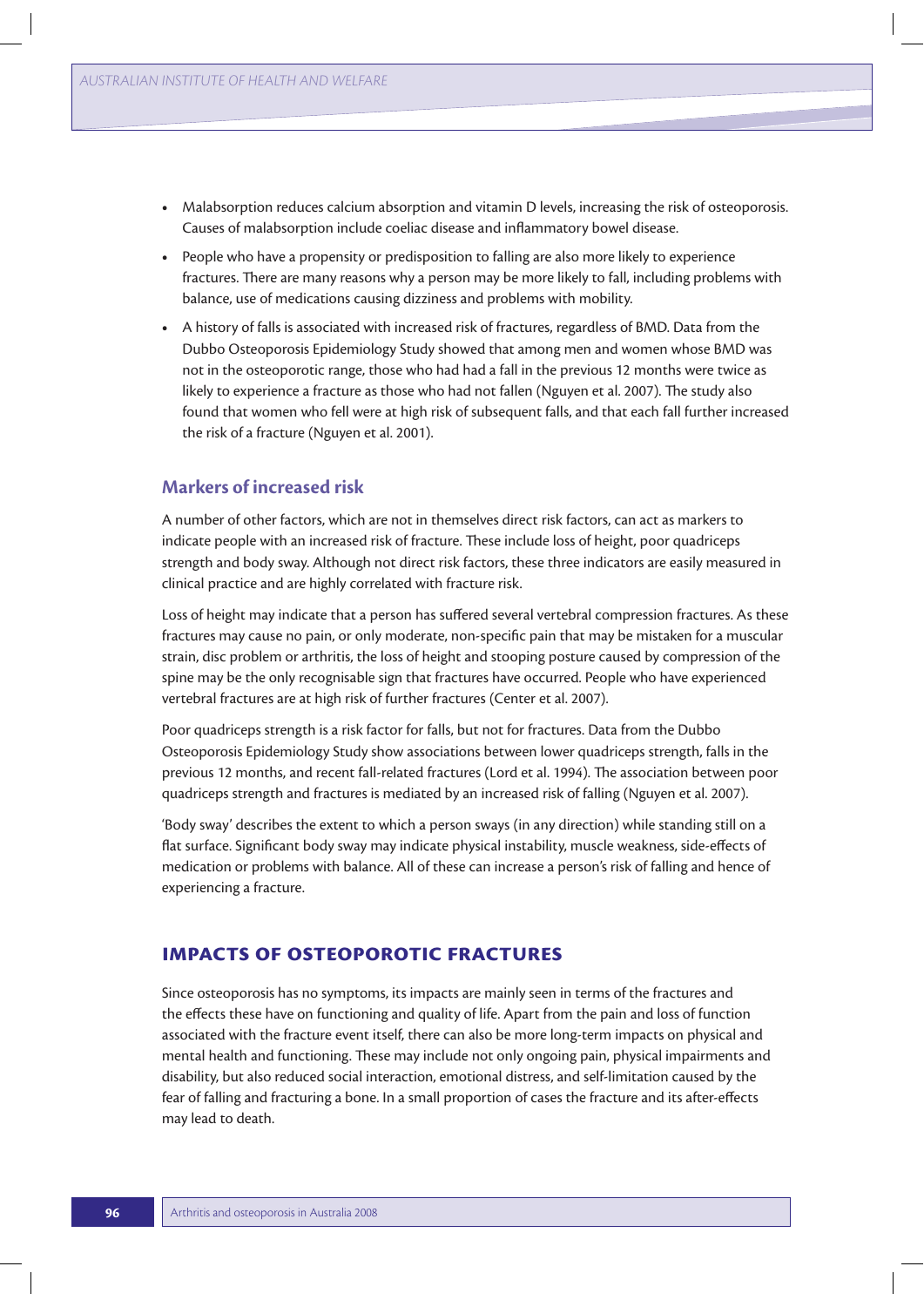- **t** Malabsorption reduces calcium absorption and vitamin D levels, increasing the risk of osteoporosis. Causes of malabsorption include coeliac disease and inflammatory bowel disease.
- **t** People who have a propensity or predisposition to falling are also more likely to experience fractures. There are many reasons why a person may be more likely to fall, including problems with balance, use of medications causing dizziness and problems with mobility.
- **t** A history of falls is associated with increased risk of fractures, regardless of BMD. Data from the Dubbo Osteoporosis Epidemiology Study showed that among men and women whose BMD was not in the osteoporotic range, those who had had a fall in the previous 12 months were twice as likely to experience a fracture as those who had not fallen (Nguyen et al. 2007). The study also found that women who fell were at high risk of subsequent falls, and that each fall further increased the risk of a fracture (Nguyen et al. 2001).

### **Markers of increased risk**

A number of other factors, which are not in themselves direct risk factors, can act as markers to indicate people with an increased risk of fracture. These include loss of height, poor quadriceps strength and body sway. Although not direct risk factors, these three indicators are easily measured in clinical practice and are highly correlated with fracture risk.

Loss of height may indicate that a person has suffered several vertebral compression fractures. As these fractures may cause no pain, or only moderate, non-specific pain that may be mistaken for a muscular strain, disc problem or arthritis, the loss of height and stooping posture caused by compression of the spine may be the only recognisable sign that fractures have occurred. People who have experienced vertebral fractures are at high risk of further fractures (Center et al. 2007).

Poor quadriceps strength is a risk factor for falls, but not for fractures. Data from the Dubbo Osteoporosis Epidemiology Study show associations between lower quadriceps strength, falls in the previous 12 months, and recent fall-related fractures (Lord et al. 1994). The association between poor quadriceps strength and fractures is mediated by an increased risk of falling (Nguyen et al. 2007).

'Body sway' describes the extent to which a person sways (in any direction) while standing still on a flat surface. Significant body sway may indicate physical instability, muscle weakness, side-effects of medication or problems with balance. All of these can increase a person's risk of falling and hence of experiencing a fracture.

## **Impacts of osteoporotic fractures**

Since osteoporosis has no symptoms, its impacts are mainly seen in terms of the fractures and the effects these have on functioning and quality of life. Apart from the pain and loss of function associated with the fracture event itself, there can also be more long-term impacts on physical and mental health and functioning. These may include not only ongoing pain, physical impairments and disability, but also reduced social interaction, emotional distress, and self-limitation caused by the fear of falling and fracturing a bone. In a small proportion of cases the fracture and its after-effects may lead to death.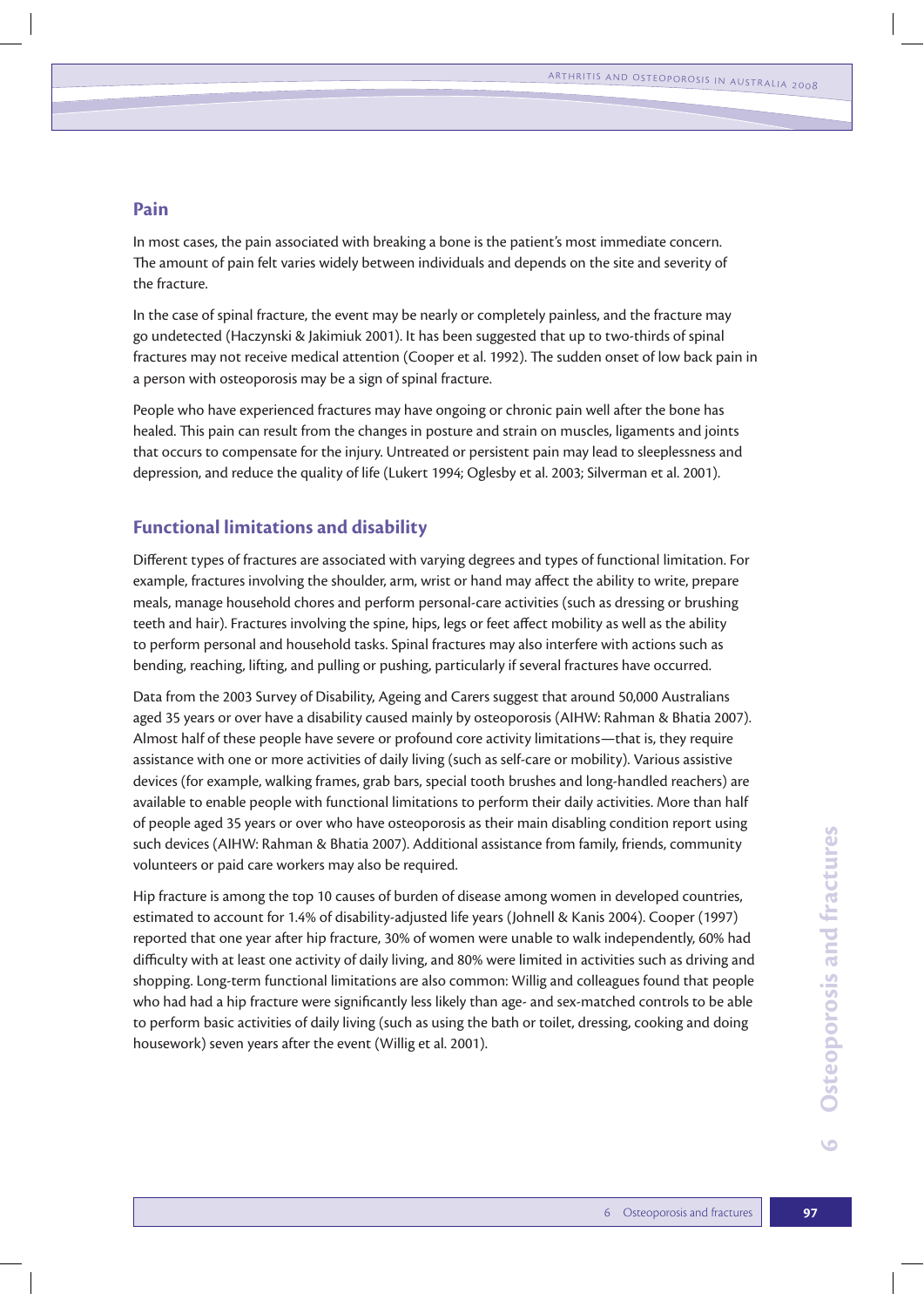### **Pain**

In most cases, the pain associated with breaking a bone is the patient's most immediate concern. The amount of pain felt varies widely between individuals and depends on the site and severity of the fracture.

In the case of spinal fracture, the event may be nearly or completely painless, and the fracture may go undetected (Haczynski & Jakimiuk 2001). It has been suggested that up to two-thirds of spinal fractures may not receive medical attention (Cooper et al. 1992). The sudden onset of low back pain in a person with osteoporosis may be a sign of spinal fracture.

People who have experienced fractures may have ongoing or chronic pain well after the bone has healed. This pain can result from the changes in posture and strain on muscles, ligaments and joints that occurs to compensate for the injury. Untreated or persistent pain may lead to sleeplessness and depression, and reduce the quality of life (Lukert 1994; Oglesby et al. 2003; Silverman et al. 2001).

#### **Functional limitations and disability**

Different types of fractures are associated with varying degrees and types of functional limitation. For example, fractures involving the shoulder, arm, wrist or hand may affect the ability to write, prepare meals, manage household chores and perform personal-care activities (such as dressing or brushing teeth and hair). Fractures involving the spine, hips, legs or feet affect mobility as well as the ability to perform personal and household tasks. Spinal fractures may also interfere with actions such as bending, reaching, lifting, and pulling or pushing, particularly if several fractures have occurred.

Data from the 2003 Survey of Disability, Ageing and Carers suggest that around 50,000 Australians aged 35 years or over have a disability caused mainly by osteoporosis (AIHW: Rahman & Bhatia 2007). Almost half of these people have severe or profound core activity limitations—that is, they require assistance with one or more activities of daily living (such as self-care or mobility). Various assistive devices (for example, walking frames, grab bars, special tooth brushes and long-handled reachers) are available to enable people with functional limitations to perform their daily activities. More than half of people aged 35 years or over who have osteoporosis as their main disabling condition report using such devices (AIHW: Rahman & Bhatia 2007). Additional assistance from family, friends, community volunteers or paid care workers may also be required.

Hip fracture is among the top 10 causes of burden of disease among women in developed countries, estimated to account for 1.4% of disability-adjusted life years (Johnell & Kanis 2004). Cooper (1997) reported that one year after hip fracture, 30% of women were unable to walk independently, 60% had difficulty with at least one activity of daily living, and 80% were limited in activities such as driving and shopping. Long-term functional limitations are also common: Willig and colleagues found that people who had had a hip fracture were significantly less likely than age- and sex-matched controls to be able to perform basic activities of daily living (such as using the bath or toilet, dressing, cooking and doing housework) seven years after the event (Willig et al. 2001).

 $\bullet$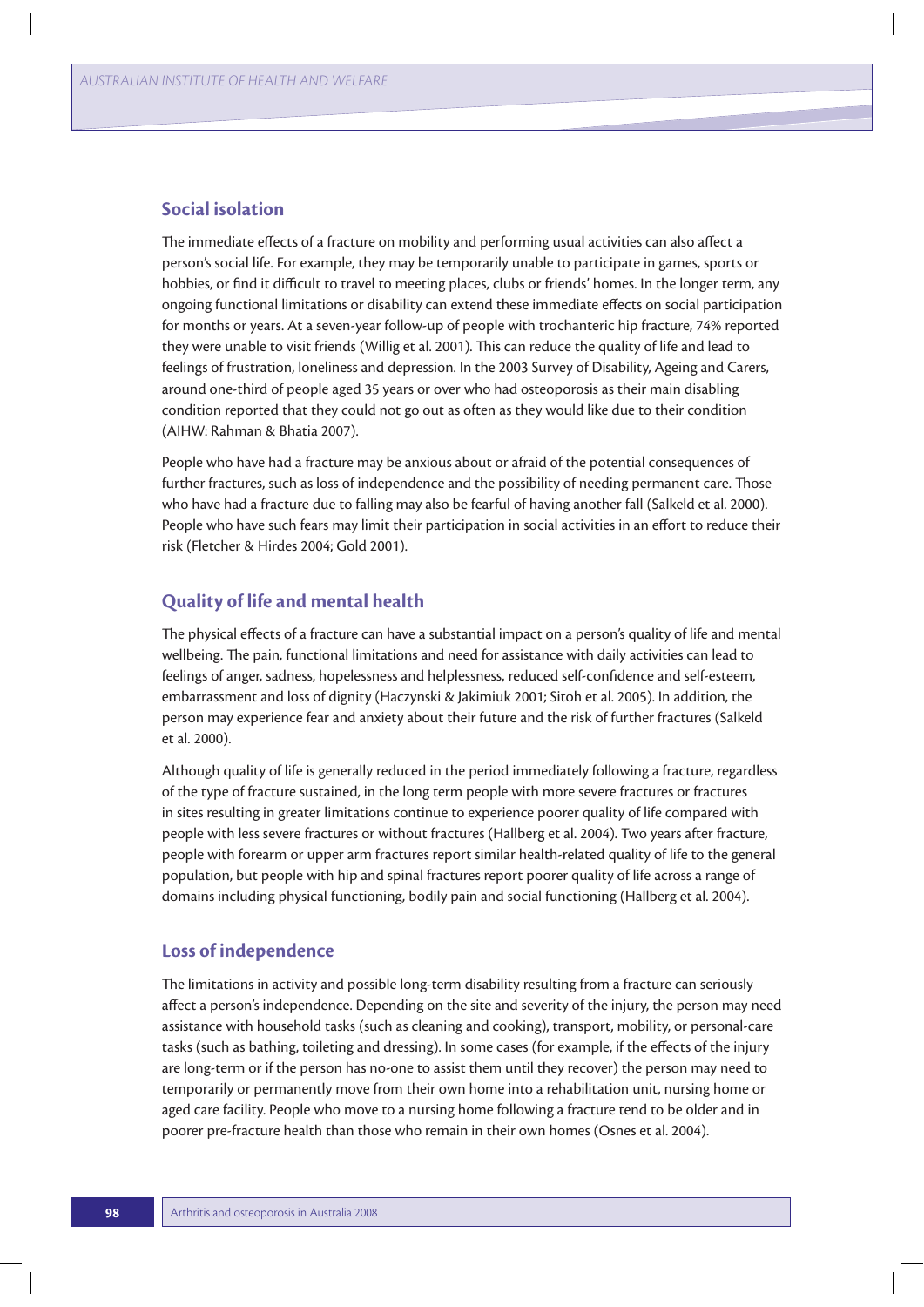#### **Social isolation**

The immediate effects of a fracture on mobility and performing usual activities can also affect a person's social life. For example, they may be temporarily unable to participate in games, sports or hobbies, or find it difficult to travel to meeting places, clubs or friends' homes. In the longer term, any ongoing functional limitations or disability can extend these immediate effects on social participation for months or years. At a seven-year follow-up of people with trochanteric hip fracture, 74% reported they were unable to visit friends (Willig et al. 2001). This can reduce the quality of life and lead to feelings of frustration, loneliness and depression. In the 2003 Survey of Disability, Ageing and Carers, around one-third of people aged 35 years or over who had osteoporosis as their main disabling condition reported that they could not go out as often as they would like due to their condition (AIHW: Rahman & Bhatia 2007).

People who have had a fracture may be anxious about or afraid of the potential consequences of further fractures, such as loss of independence and the possibility of needing permanent care. Those who have had a fracture due to falling may also be fearful of having another fall (Salkeld et al. 2000). People who have such fears may limit their participation in social activities in an effort to reduce their risk (Fletcher & Hirdes 2004; Gold 2001).

### **Quality of life and mental health**

The physical effects of a fracture can have a substantial impact on a person's quality of life and mental wellbeing. The pain, functional limitations and need for assistance with daily activities can lead to feelings of anger, sadness, hopelessness and helplessness, reduced self-confidence and self-esteem, embarrassment and loss of dignity (Haczynski & Jakimiuk 2001; Sitoh et al. 2005). In addition, the person may experience fear and anxiety about their future and the risk of further fractures (Salkeld et al. 2000).

Although quality of life is generally reduced in the period immediately following a fracture, regardless of the type of fracture sustained, in the long term people with more severe fractures or fractures in sites resulting in greater limitations continue to experience poorer quality of life compared with people with less severe fractures or without fractures (Hallberg et al. 2004). Two years after fracture, people with forearm or upper arm fractures report similar health-related quality of life to the general population, but people with hip and spinal fractures report poorer quality of life across a range of domains including physical functioning, bodily pain and social functioning (Hallberg et al. 2004).

#### **Loss of independence**

The limitations in activity and possible long-term disability resulting from a fracture can seriously affect a person's independence. Depending on the site and severity of the injury, the person may need assistance with household tasks (such as cleaning and cooking), transport, mobility, or personal-care tasks (such as bathing, toileting and dressing). In some cases (for example, if the effects of the injury are long-term or if the person has no-one to assist them until they recover) the person may need to temporarily or permanently move from their own home into a rehabilitation unit, nursing home or aged care facility. People who move to a nursing home following a fracture tend to be older and in poorer pre-fracture health than those who remain in their own homes (Osnes et al. 2004).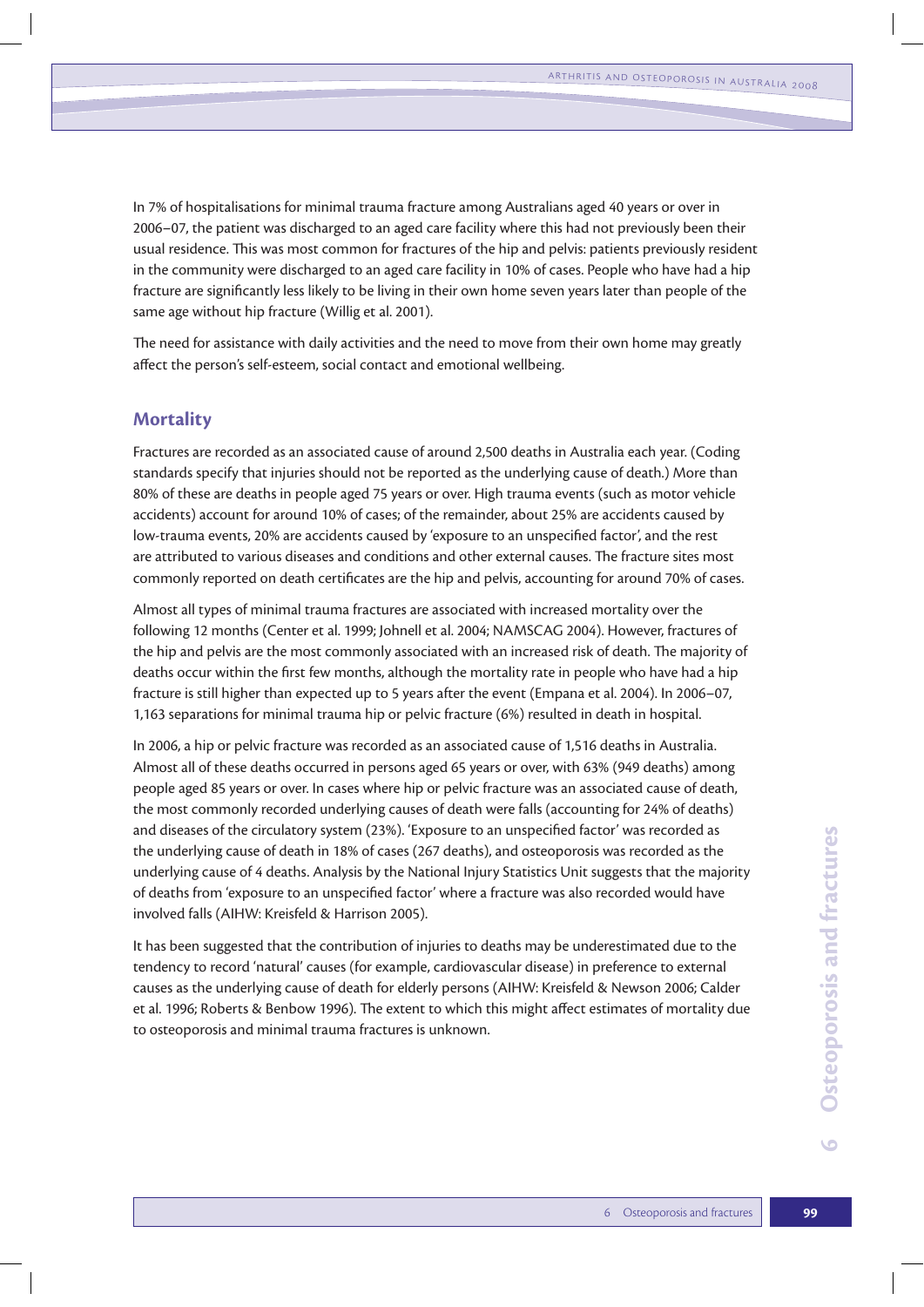In 7% of hospitalisations for minimal trauma fracture among Australians aged 40 years or over in 2006–07, the patient was discharged to an aged care facility where this had not previously been their usual residence. This was most common for fractures of the hip and pelvis: patients previously resident in the community were discharged to an aged care facility in 10% of cases. People who have had a hip fracture are significantly less likely to be living in their own home seven years later than people of the same age without hip fracture (Willig et al. 2001).

The need for assistance with daily activities and the need to move from their own home may greatly affect the person's self-esteem, social contact and emotional wellbeing.

#### **Mortality**

Fractures are recorded as an associated cause of around 2,500 deaths in Australia each year. (Coding standards specify that injuries should not be reported as the underlying cause of death.) More than 80% of these are deaths in people aged 75 years or over. High trauma events (such as motor vehicle accidents) account for around 10% of cases; of the remainder, about 25% are accidents caused by low-trauma events, 20% are accidents caused by 'exposure to an unspecified factor', and the rest are attributed to various diseases and conditions and other external causes. The fracture sites most commonly reported on death certificates are the hip and pelvis, accounting for around 70% of cases.

Almost all types of minimal trauma fractures are associated with increased mortality over the following 12 months (Center et al. 1999; Johnell et al. 2004; NAMSCAG 2004). However, fractures of the hip and pelvis are the most commonly associated with an increased risk of death. The majority of deaths occur within the first few months, although the mortality rate in people who have had a hip fracture is still higher than expected up to 5 years after the event (Empana et al. 2004). In 2006–07, 1,163 separations for minimal trauma hip or pelvic fracture (6%) resulted in death in hospital.

In 2006, a hip or pelvic fracture was recorded as an associated cause of 1,516 deaths in Australia. Almost all of these deaths occurred in persons aged 65 years or over, with 63% (949 deaths) among people aged 85 years or over. In cases where hip or pelvic fracture was an associated cause of death, the most commonly recorded underlying causes of death were falls (accounting for 24% of deaths) and diseases of the circulatory system (23%). 'Exposure to an unspecified factor' was recorded as the underlying cause of death in 18% of cases (267 deaths), and osteoporosis was recorded as the underlying cause of 4 deaths. Analysis by the National Injury Statistics Unit suggests that the majority of deaths from 'exposure to an unspecified factor' where a fracture was also recorded would have involved falls (AIHW: Kreisfeld & Harrison 2005).

It has been suggested that the contribution of injuries to deaths may be underestimated due to the tendency to record 'natural' causes (for example, cardiovascular disease) in preference to external causes as the underlying cause of death for elderly persons (AIHW: Kreisfeld & Newson 2006; Calder et al. 1996; Roberts & Benbow 1996). The extent to which this might affect estimates of mortality due to osteoporosis and minimal trauma fractures is unknown.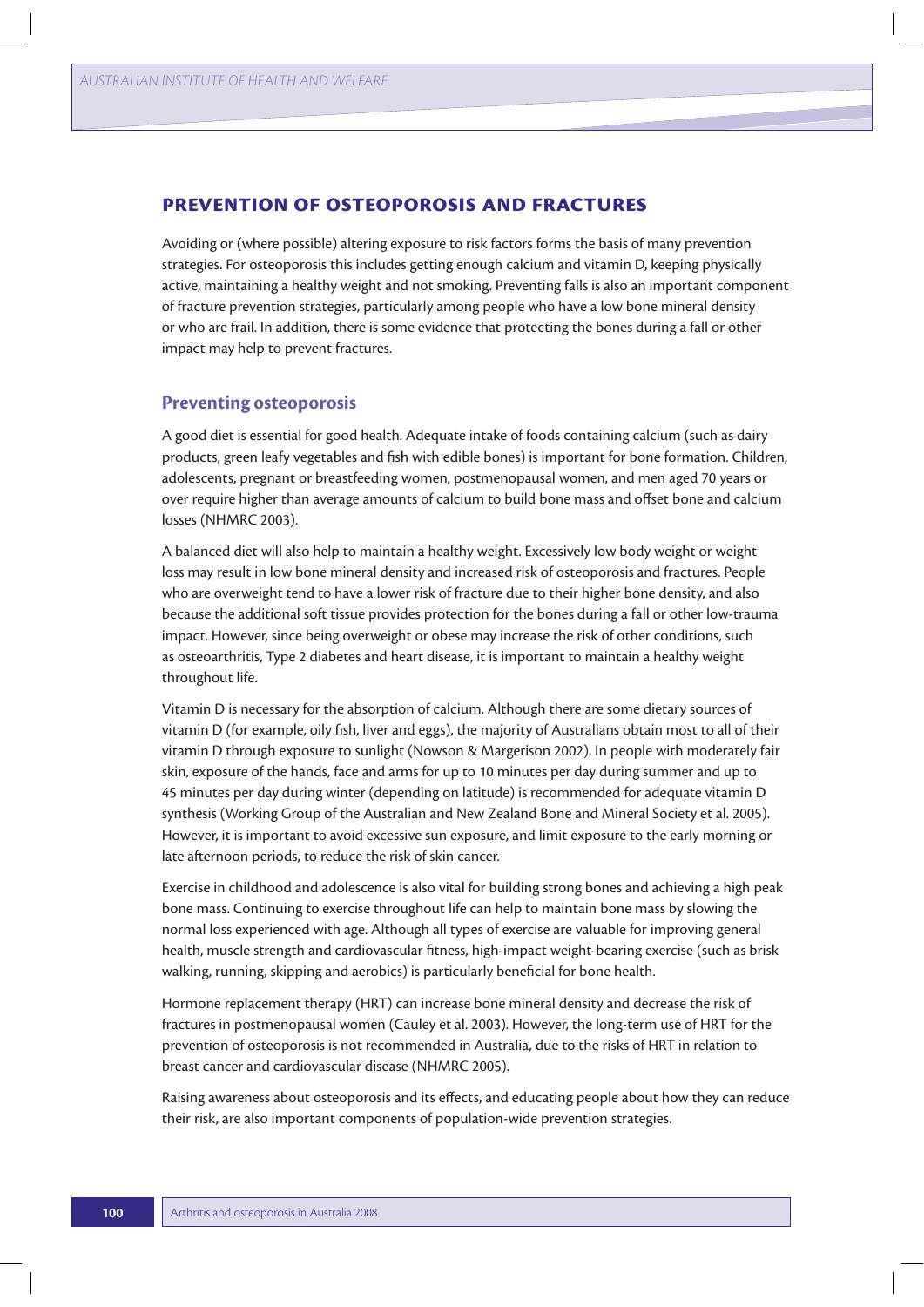#### **Prevention of osteoporosis and fractures**

Avoiding or (where possible) altering exposure to risk factors forms the basis of many prevention strategies. For osteoporosis this includes getting enough calcium and vitamin D, keeping physically active, maintaining a healthy weight and not smoking. Preventing falls is also an important component of fracture prevention strategies, particularly among people who have a low bone mineral density or who are frail. In addition, there is some evidence that protecting the bones during a fall or other impact may help to prevent fractures.

#### **Preventing osteoporosis**

A good diet is essential for good health. Adequate intake of foods containing calcium (such as dairy products, green leafy vegetables and fish with edible bones) is important for bone formation. Children, adolescents, pregnant or breastfeeding women, postmenopausal women, and men aged 70 years or over require higher than average amounts of calcium to build bone mass and offset bone and calcium losses (NHMRC 2003).

A balanced diet will also help to maintain a healthy weight. Excessively low body weight or weight loss may result in low bone mineral density and increased risk of osteoporosis and fractures. People who are overweight tend to have a lower risk of fracture due to their higher bone density, and also because the additional soft tissue provides protection for the bones during a fall or other low-trauma impact. However, since being overweight or obese may increase the risk of other conditions, such as osteoarthritis, Type 2 diabetes and heart disease, it is important to maintain a healthy weight throughout life.

Vitamin D is necessary for the absorption of calcium. Although there are some dietary sources of vitamin D (for example, oily fish, liver and eggs), the majority of Australians obtain most to all of their vitamin D through exposure to sunlight (Nowson & Margerison 2002). In people with moderately fair skin, exposure of the hands, face and arms for up to 10 minutes per day during summer and up to 45 minutes per day during winter (depending on latitude) is recommended for adequate vitamin D synthesis (Working Group of the Australian and New Zealand Bone and Mineral Society et al. 2005). However, it is important to avoid excessive sun exposure, and limit exposure to the early morning or late afternoon periods, to reduce the risk of skin cancer.

Exercise in childhood and adolescence is also vital for building strong bones and achieving a high peak bone mass. Continuing to exercise throughout life can help to maintain bone mass by slowing the normal loss experienced with age. Although all types of exercise are valuable for improving general health, muscle strength and cardiovascular fitness, high-impact weight-bearing exercise (such as brisk walking, running, skipping and aerobics) is particularly beneficial for bone health.

Hormone replacement therapy (HRT) can increase bone mineral density and decrease the risk of fractures in postmenopausal women (Cauley et al. 2003). However, the long-term use of HRT for the prevention of osteoporosis is not recommended in Australia, due to the risks of HRT in relation to breast cancer and cardiovascular disease (NHMRC 2005).

Raising awareness about osteoporosis and its effects, and educating people about how they can reduce their risk, are also important components of population-wide prevention strategies.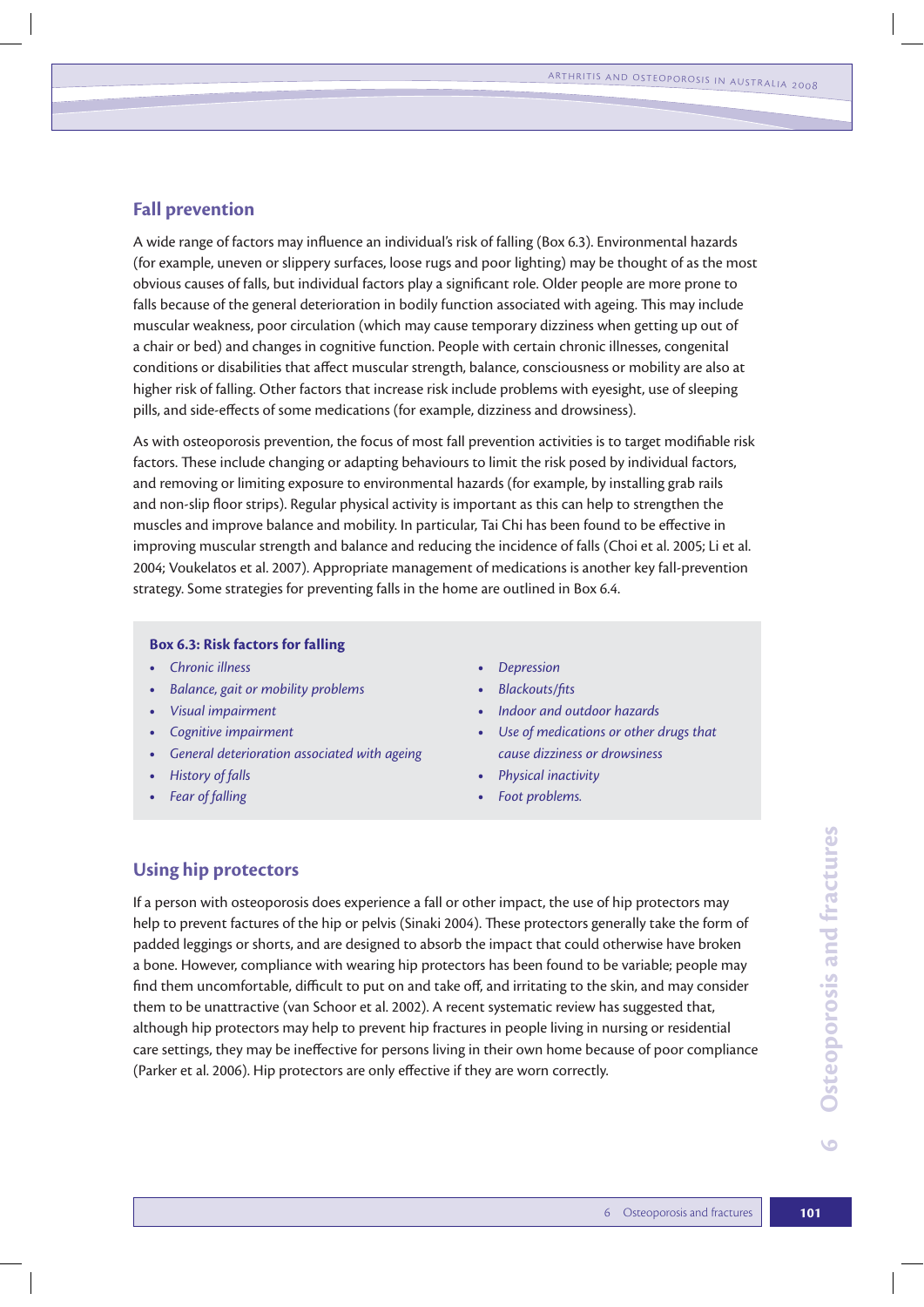### **Fall prevention**

A wide range of factors may influence an individual's risk of falling (Box 6.3). Environmental hazards (for example, uneven or slippery surfaces, loose rugs and poor lighting) may be thought of as the most obvious causes of falls, but individual factors play a significant role. Older people are more prone to falls because of the general deterioration in bodily function associated with ageing. This may include muscular weakness, poor circulation (which may cause temporary dizziness when getting up out of a chair or bed) and changes in cognitive function. People with certain chronic illnesses, congenital conditions or disabilities that affect muscular strength, balance, consciousness or mobility are also at higher risk of falling. Other factors that increase risk include problems with eyesight, use of sleeping pills, and side-effects of some medications (for example, dizziness and drowsiness).

As with osteoporosis prevention, the focus of most fall prevention activities is to target modifiable risk factors. These include changing or adapting behaviours to limit the risk posed by individual factors, and removing or limiting exposure to environmental hazards (for example, by installing grab rails and non-slip floor strips). Regular physical activity is important as this can help to strengthen the muscles and improve balance and mobility. In particular, Tai Chi has been found to be effective in improving muscular strength and balance and reducing the incidence of falls (Choi et al. 2005; Li et al. 2004; Voukelatos et al. 2007). Appropriate management of medications is another key fall-prevention strategy. Some strategies for preventing falls in the home are outlined in Box 6.4.

#### **Box 6.3: Risk factors for falling**

- **•** Chronic illness **Depression •** Depression
- **the** *Balance*, gait or mobility problems **by** *Blackouts/fits*
- 
- 
- **t** *General deterioration associated with ageing cause dizziness or drowsiness*
- 
- 
- 
- 
- **t** *Visual impairment* **t** *Indoor and outdoor hazards*
- **t** *Cognitive impairment* **that is a complete impairment that is a complete of** *Lieument**Cognitive impairment*
- **t** *History of falls* **t** *Physical inactivity*
- **the** *Fear of falling* **the** *Foot problems***. • Foot problems.**

## **Using hip protectors**

If a person with osteoporosis does experience a fall or other impact, the use of hip protectors may help to prevent factures of the hip or pelvis (Sinaki 2004). These protectors generally take the form of padded leggings or shorts, and are designed to absorb the impact that could otherwise have broken a bone. However, compliance with wearing hip protectors has been found to be variable; people may find them uncomfortable, difficult to put on and take off, and irritating to the skin, and may consider them to be unattractive (van Schoor et al. 2002). A recent systematic review has suggested that, although hip protectors may help to prevent hip fractures in people living in nursing or residential care settings, they may be ineffective for persons living in their own home because of poor compliance (Parker et al. 2006). Hip protectors are only effective if they are worn correctly.

 $\bullet$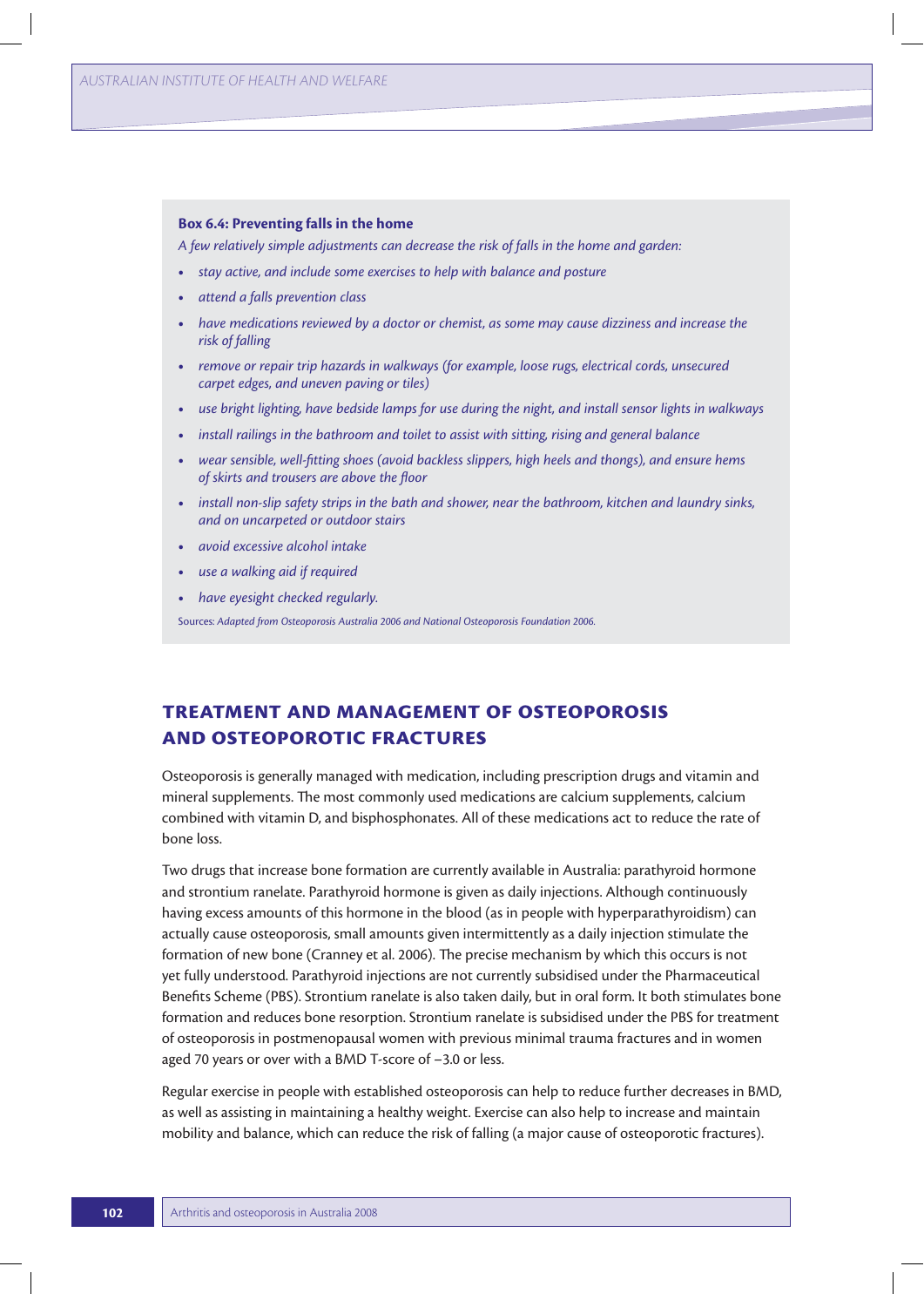#### **Box 6.4: Preventing falls in the home**

*A few relatively simple adjustments can decrease the risk of falls in the home and garden:* 

- **t** *stay active, and include some exercises to help with balance and posture*
- **t** *attend a falls prevention class*
- **t** *have medications reviewed by a doctor or chemist, as some may cause dizziness and increase the risk of falling*
- **t** *remove or repair trip hazards in walkways (for example, loose rugs, electrical cords, unsecured carpet edges, and uneven paving or tiles)*
- **t** *use bright lighting, have bedside lamps for use during the night, and install sensor lights in walkways*
- **t** *install railings in the bathroom and toilet to assist with sitting, rising and general balance*
- **t** *wear sensible, well-fitting shoes (avoid backless slippers, high heels and thongs), and ensure hems of skirts and trousers are above the floor*
- **t** *install non-slip safety strips in the bath and shower, near the bathroom, kitchen and laundry sinks, and on uncarpeted or outdoor stairs*
- **t** *avoid excessive alcohol intake*
- **t** *use a walking aid if required*
- **t** *have eyesight checked regularly.*

Sources: *Adapted from Osteoporosis Australia 2006 and National Osteoporosis Foundation 2006.*

## **Treatment and management of osteoporosis and osteoporotic fractures**

Osteoporosis is generally managed with medication, including prescription drugs and vitamin and mineral supplements. The most commonly used medications are calcium supplements, calcium combined with vitamin D, and bisphosphonates. All of these medications act to reduce the rate of bone loss.

Two drugs that increase bone formation are currently available in Australia: parathyroid hormone and strontium ranelate. Parathyroid hormone is given as daily injections. Although continuously having excess amounts of this hormone in the blood (as in people with hyperparathyroidism) can actually cause osteoporosis, small amounts given intermittently as a daily injection stimulate the formation of new bone (Cranney et al. 2006). The precise mechanism by which this occurs is not yet fully understood. Parathyroid injections are not currently subsidised under the Pharmaceutical Benefits Scheme (PBS). Strontium ranelate is also taken daily, but in oral form. It both stimulates bone formation and reduces bone resorption. Strontium ranelate is subsidised under the PBS for treatment of osteoporosis in postmenopausal women with previous minimal trauma fractures and in women aged 70 years or over with a BMD T-score of –3.0 or less.

Regular exercise in people with established osteoporosis can help to reduce further decreases in BMD, as well as assisting in maintaining a healthy weight. Exercise can also help to increase and maintain mobility and balance, which can reduce the risk of falling (a major cause of osteoporotic fractures).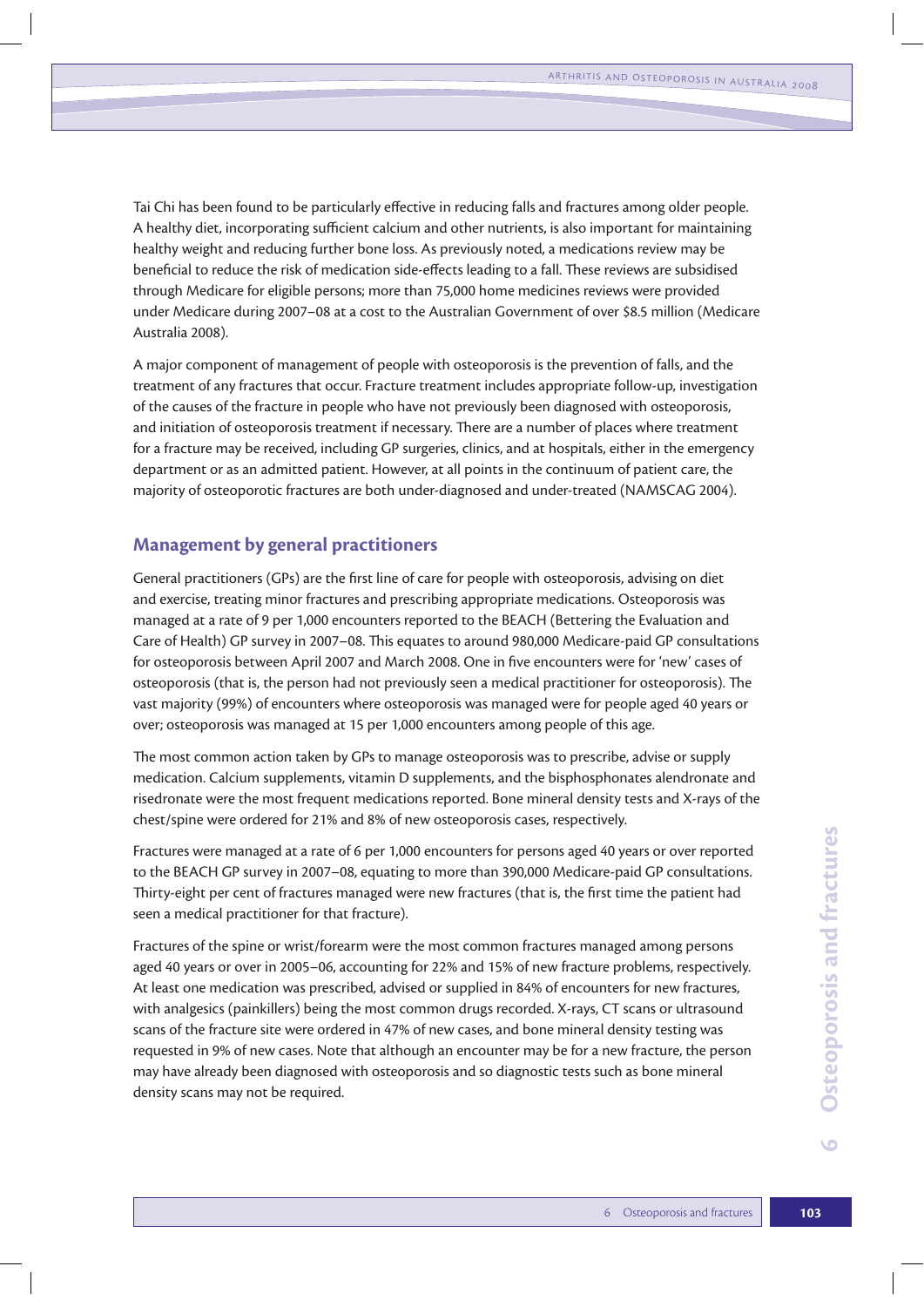Tai Chi has been found to be particularly effective in reducing falls and fractures among older people. A healthy diet, incorporating sufficient calcium and other nutrients, is also important for maintaining healthy weight and reducing further bone loss. As previously noted, a medications review may be beneficial to reduce the risk of medication side-effects leading to a fall. These reviews are subsidised through Medicare for eligible persons; more than 75,000 home medicines reviews were provided under Medicare during 2007–08 at a cost to the Australian Government of over \$8.5 million (Medicare Australia 2008).

A major component of management of people with osteoporosis is the prevention of falls, and the treatment of any fractures that occur. Fracture treatment includes appropriate follow-up, investigation of the causes of the fracture in people who have not previously been diagnosed with osteoporosis, and initiation of osteoporosis treatment if necessary. There are a number of places where treatment for a fracture may be received, including GP surgeries, clinics, and at hospitals, either in the emergency department or as an admitted patient. However, at all points in the continuum of patient care, the majority of osteoporotic fractures are both under-diagnosed and under-treated (NAMSCAG 2004).

#### **Management by general practitioners**

General practitioners (GPs) are the first line of care for people with osteoporosis, advising on diet and exercise, treating minor fractures and prescribing appropriate medications. Osteoporosis was managed at a rate of 9 per 1,000 encounters reported to the BEACH (Bettering the Evaluation and Care of Health) GP survey in 2007–08. This equates to around 980,000 Medicare-paid GP consultations for osteoporosis between April 2007 and March 2008. One in five encounters were for 'new' cases of osteoporosis (that is, the person had not previously seen a medical practitioner for osteoporosis). The vast majority (99%) of encounters where osteoporosis was managed were for people aged 40 years or over; osteoporosis was managed at 15 per 1,000 encounters among people of this age.

The most common action taken by GPs to manage osteoporosis was to prescribe, advise or supply medication. Calcium supplements, vitamin D supplements, and the bisphosphonates alendronate and risedronate were the most frequent medications reported. Bone mineral density tests and X-rays of the chest/spine were ordered for 21% and 8% of new osteoporosis cases, respectively.

Fractures were managed at a rate of 6 per 1,000 encounters for persons aged 40 years or over reported to the BEACH GP survey in 2007–08, equating to more than 390,000 Medicare-paid GP consultations. Thirty-eight per cent of fractures managed were new fractures (that is, the first time the patient had seen a medical practitioner for that fracture).

Fraction of Osteoporosis and fractures **103**<br>
6 Osteoporosis and fractures and fractures for new fractures,<br>
103<br> **103 6** Osteoporosis and fractures<br>
103 Fractures of the spine or wrist/forearm were the most common fractures managed among persons aged 40 years or over in 2005–06, accounting for 22% and 15% of new fracture problems, respectively. At least one medication was prescribed, advised or supplied in 84% of encounters for new fractures, with analgesics (painkillers) being the most common drugs recorded. X-rays, CT scans or ultrasound scans of the fracture site were ordered in 47% of new cases, and bone mineral density testing was requested in 9% of new cases. Note that although an encounter may be for a new fracture, the person may have already been diagnosed with osteoporosis and so diagnostic tests such as bone mineral density scans may not be required.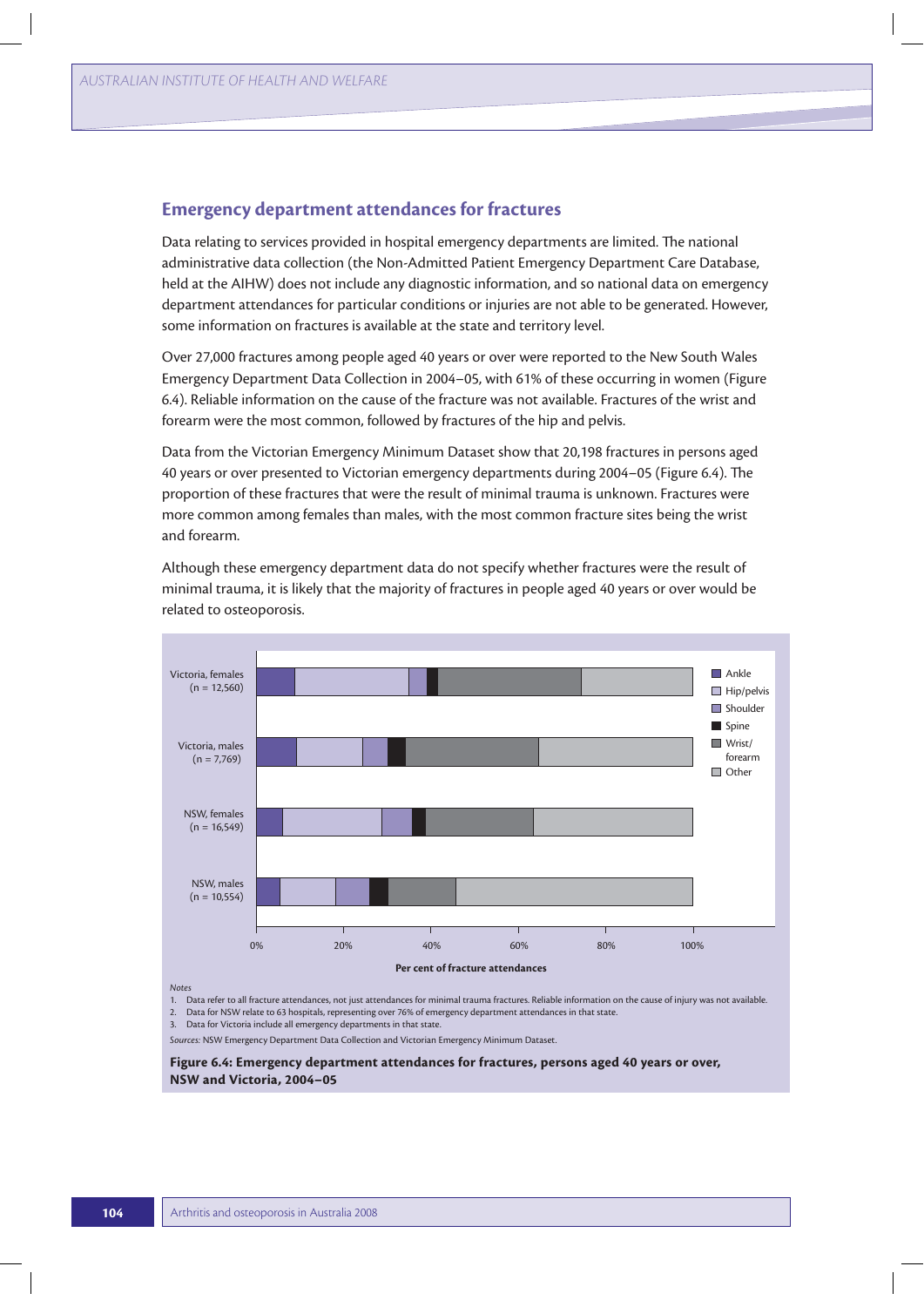#### **Emergency department attendances for fractures**

Data relating to services provided in hospital emergency departments are limited. The national administrative data collection (the Non-Admitted Patient Emergency Department Care Database, held at the AIHW) does not include any diagnostic information, and so national data on emergency department attendances for particular conditions or injuries are not able to be generated. However, some information on fractures is available at the state and territory level.

Over 27,000 fractures among people aged 40 years or over were reported to the New South Wales Emergency Department Data Collection in 2004–05, with 61% of these occurring in women (Figure 6.4). Reliable information on the cause of the fracture was not available. Fractures of the wrist and forearm were the most common, followed by fractures of the hip and pelvis.

Data from the Victorian Emergency Minimum Dataset show that 20,198 fractures in persons aged 40 years or over presented to Victorian emergency departments during 2004–05 (Figure 6.4). The proportion of these fractures that were the result of minimal trauma is unknown. Fractures were more common among females than males, with the most common fracture sites being the wrist and forearm.

Although these emergency department data do not specify whether fractures were the result of minimal trauma, it is likely that the majority of fractures in people aged 40 years or over would be related to osteoporosis.



*Notes*

1. Data refer to all fracture attendances, not just attendances for minimal trauma fractures. Reliable information on the cause of injury was not available.

2. Data for NSW relate to 63 hospitals, representing over 76% of emergency department attendances in that state.

3. Data for Victoria include all emergency departments in that state.

*Sources:* NSW Emergency Department Data Collection and Victorian Emergency Minimum Dataset.

**Figure 6.4: Emergency department attendances for fractures, persons aged 40 years or over, NSW and Victoria, 2004–05**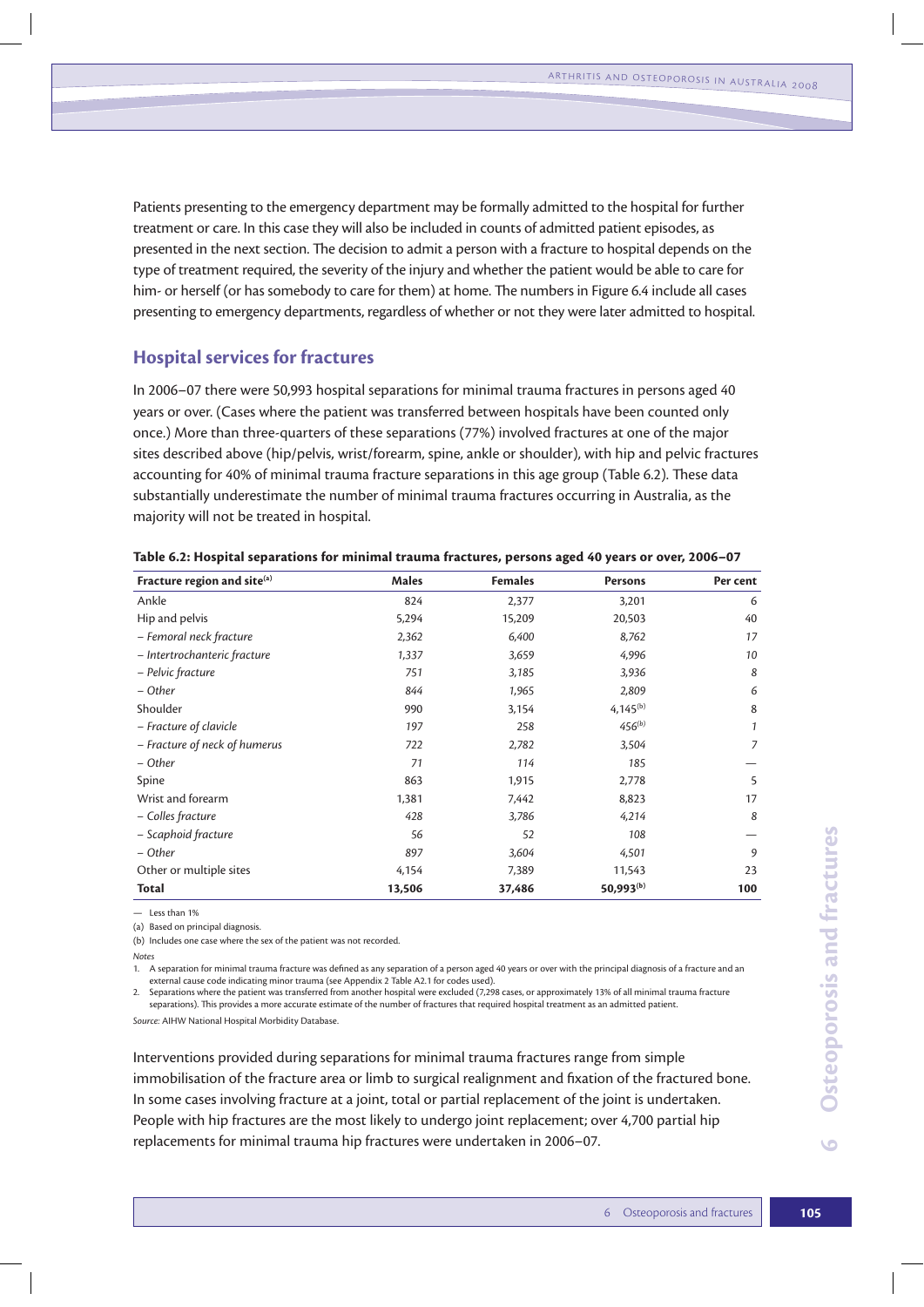Patients presenting to the emergency department may be formally admitted to the hospital for further treatment or care. In this case they will also be included in counts of admitted patient episodes, as presented in the next section. The decision to admit a person with a fracture to hospital depends on the type of treatment required, the severity of the injury and whether the patient would be able to care for him- or herself (or has somebody to care for them) at home. The numbers in Figure 6.4 include all cases presenting to emergency departments, regardless of whether or not they were later admitted to hospital.

#### **Hospital services for fractures**

In 2006–07 there were 50,993 hospital separations for minimal trauma fractures in persons aged 40 years or over. (Cases where the patient was transferred between hospitals have been counted only once.) More than three-quarters of these separations (77%) involved fractures at one of the major sites described above (hip/pelvis, wrist/forearm, spine, ankle or shoulder), with hip and pelvic fractures accounting for 40% of minimal trauma fracture separations in this age group (Table 6.2). These data substantially underestimate the number of minimal trauma fractures occurring in Australia, as the majority will not be treated in hospital.

| Fracture region and site(a)   | Males  | <b>Females</b> | Persons               | Per cent     |
|-------------------------------|--------|----------------|-----------------------|--------------|
| Ankle                         | 824    | 2,377          | 3,201                 | 6            |
| Hip and pelvis                | 5,294  | 15,209         | 20,503                | 40           |
| - Femoral neck fracture       | 2,362  | 6,400          | 8,762                 | 17           |
| - Intertrochanteric fracture  | 1,337  | 3,659          | 4,996                 | 10           |
| - Pelvic fracture             | 751    | 3,185          | 3,936                 | 8            |
| – Other                       | 844    | 1,965          | 2,809                 | 6            |
| Shoulder                      | 990    | 3,154          | 4,145 $(b)$           | 8            |
| - Fracture of clavicle        | 197    | 258            | $456^{(b)}$           | $\mathbf{1}$ |
| - Fracture of neck of humerus | 722    | 2,782          | 3,504                 | 7            |
| – Other                       | 71     | 114            | 185                   |              |
| Spine                         | 863    | 1,915          | 2,778                 | 5            |
| Wrist and forearm             | 1,381  | 7,442          | 8,823                 | 17           |
| - Colles fracture             | 428    | 3,786          | 4,214                 | 8            |
| - Scaphoid fracture           | 56     | 52             | 108                   |              |
| – Other                       | 897    | 3,604          | 4,501                 | 9            |
| Other or multiple sites       | 4,154  | 7,389          | 11,543                | 23           |
| <b>Total</b>                  | 13,506 | 37,486         | 50,993 <sup>(b)</sup> | 100          |

|  | Table 6.2: Hospital separations for minimal trauma fractures, persons aged 40 years or over, 2006–07 |  |  |  |
|--|------------------------------------------------------------------------------------------------------|--|--|--|
|--|------------------------------------------------------------------------------------------------------|--|--|--|

 $-$  Less than 1%

(a) Based on principal diagnosis.

(b) Includes one case where the sex of the patient was not recorded.

1. A separation for minimal trauma fracture was defined as any separation of a person aged 40 years or over with the principal diagnosis of a fracture and an external cause code indicating minor trauma (see Appendix 2 Table A2.1 for codes used).

2. Separations where the patient was transferred from another hospital were excluded (7,298 cases, or approximately 13% of all minimal trauma fracture separations). This provides a more accurate estimate of the number of fractures that required hospital treatment as an admitted patient.

*Source:* AIHW National Hospital Morbidity Database.

108 –  $\frac{4,501}{9}$  –  $\frac{9}{11,543}$  23<br>
50,993<sup>(b)</sup> 100<br>
incipal diagnosis of a fracture and an<br>
% of all minimal trauma fracture<br>
a dmitted patient.<br>
Per from simple<br>
the fractured bone.<br>
piont is undertaken.<br>
ver 4,700 Interventions provided during separations for minimal trauma fractures range from simple immobilisation of the fracture area or limb to surgical realignment and fixation of the fractured bone. In some cases involving fracture at a joint, total or partial replacement of the joint is undertaken. People with hip fractures are the most likely to undergo joint replacement; over 4,700 partial hip replacements for minimal trauma hip fractures were undertaken in 2006–07.

*Notes*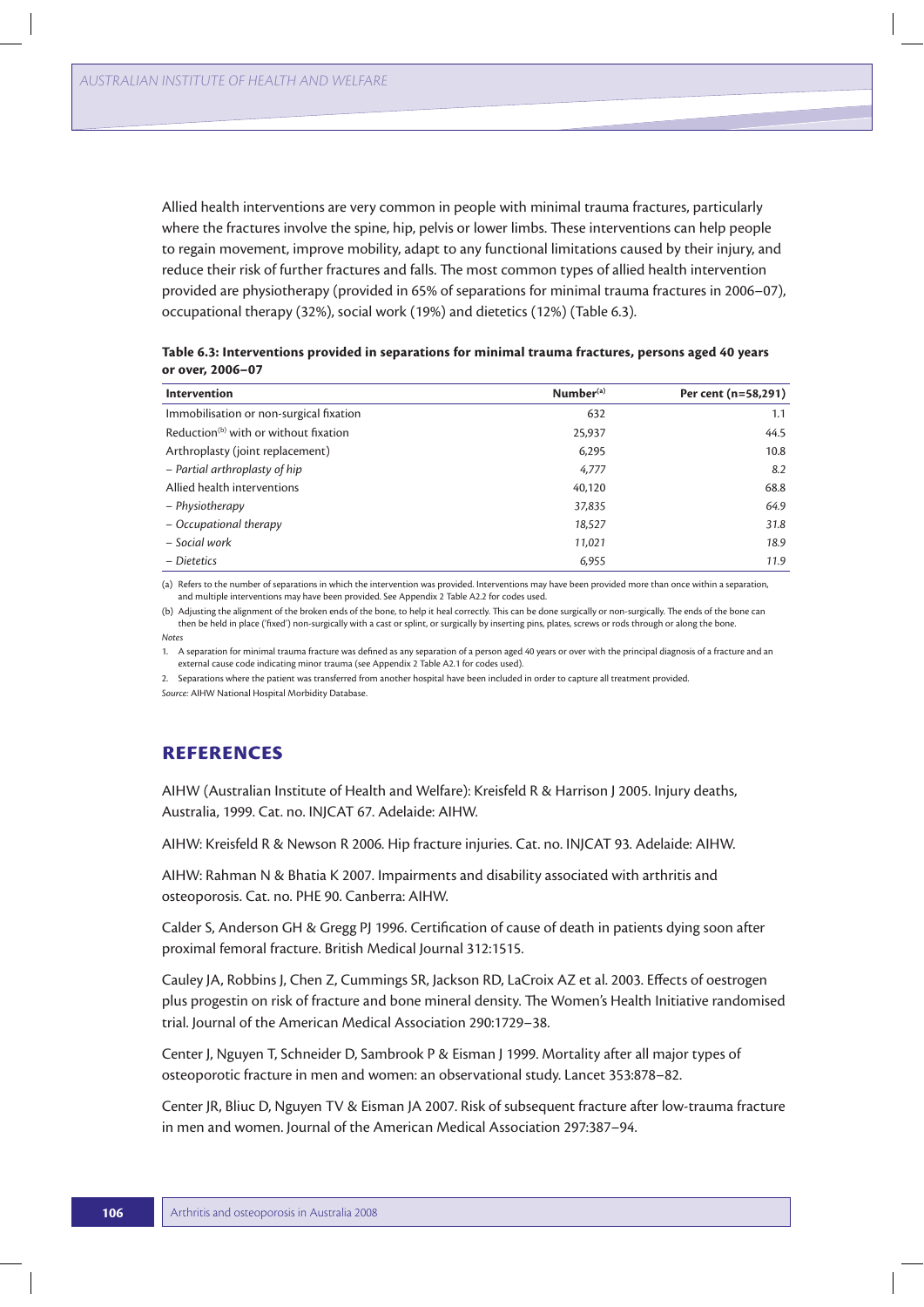Allied health interventions are very common in people with minimal trauma fractures, particularly where the fractures involve the spine, hip, pelvis or lower limbs. These interventions can help people to regain movement, improve mobility, adapt to any functional limitations caused by their injury, and reduce their risk of further fractures and falls. The most common types of allied health intervention provided are physiotherapy (provided in 65% of separations for minimal trauma fractures in 2006–07), occupational therapy (32%), social work (19%) and dietetics (12%) (Table 6.3).

**Table 6.3: Interventions provided in separations for minimal trauma fractures, persons aged 40 years or over, 2006–07**

| Intervention                                      | Number <sup>(a)</sup> | Per cent (n=58,291) |
|---------------------------------------------------|-----------------------|---------------------|
| Immobilisation or non-surgical fixation           | 632                   | 1.1                 |
| Reduction <sup>(b)</sup> with or without fixation | 25,937                | 44.5                |
| Arthroplasty (joint replacement)                  | 6,295                 | 10.8                |
| - Partial arthroplasty of hip                     | 4,777                 | 8.2                 |
| Allied health interventions                       | 40,120                | 68.8                |
| – Physiotherapy                                   | 37,835                | 64.9                |
| - Occupational therapy                            | 18,527                | 31.8                |
| - Social work                                     | 11,021                | 18.9                |
| – Dietetics                                       | 6,955                 | 11.9                |

(a) Refers to the number of separations in which the intervention was provided. Interventions may have been provided more than once within a separation, and multiple interventions may have been provided. See Appendix 2 Table A2.2 for codes used.

(b) Adjusting the alignment of the broken ends of the bone, to help it heal correctly. This can be done surgically or non-surgically. The ends of the bone can then be held in place ('fixed') non-surgically with a cast or splint, or surgically by inserting pins, plates, screws or rods through or along the bone. *Notes*

1. A separation for minimal trauma fracture was defined as any separation of a person aged 40 years or over with the principal diagnosis of a fracture and an external cause code indicating minor trauma (see Appendix 2 Table A2.1 for codes used).

2. Separations where the patient was transferred from another hospital have been included in order to capture all treatment provided.

*Source:* AIHW National Hospital Morbidity Database.

## **References**

AIHW (Australian Institute of Health and Welfare): Kreisfeld R & Harrison J 2005. Injury deaths, Australia, 1999. Cat. no. INJCAT 67. Adelaide: AIHW.

AIHW: Kreisfeld R & Newson R 2006. Hip fracture injuries. Cat. no. INJCAT 93. Adelaide: AIHW.

AIHW: Rahman N & Bhatia K 2007. Impairments and disability associated with arthritis and osteoporosis. Cat. no. PHE 90. Canberra: AIHW.

Calder S, Anderson GH & Gregg PJ 1996. Certification of cause of death in patients dying soon after proximal femoral fracture. British Medical Journal 312:1515.

Cauley JA, Robbins J, Chen Z, Cummings SR, Jackson RD, LaCroix AZ et al. 2003. Effects of oestrogen plus progestin on risk of fracture and bone mineral density. The Women's Health Initiative randomised trial. Journal of the American Medical Association 290:1729–38.

Center J, Nguyen T, Schneider D, Sambrook P & Eisman J 1999. Mortality after all major types of osteoporotic fracture in men and women: an observational study. Lancet 353:878–82.

Center JR, Bliuc D, Nguyen TV & Eisman JA 2007. Risk of subsequent fracture after low-trauma fracture in men and women. Journal of the American Medical Association 297:387–94.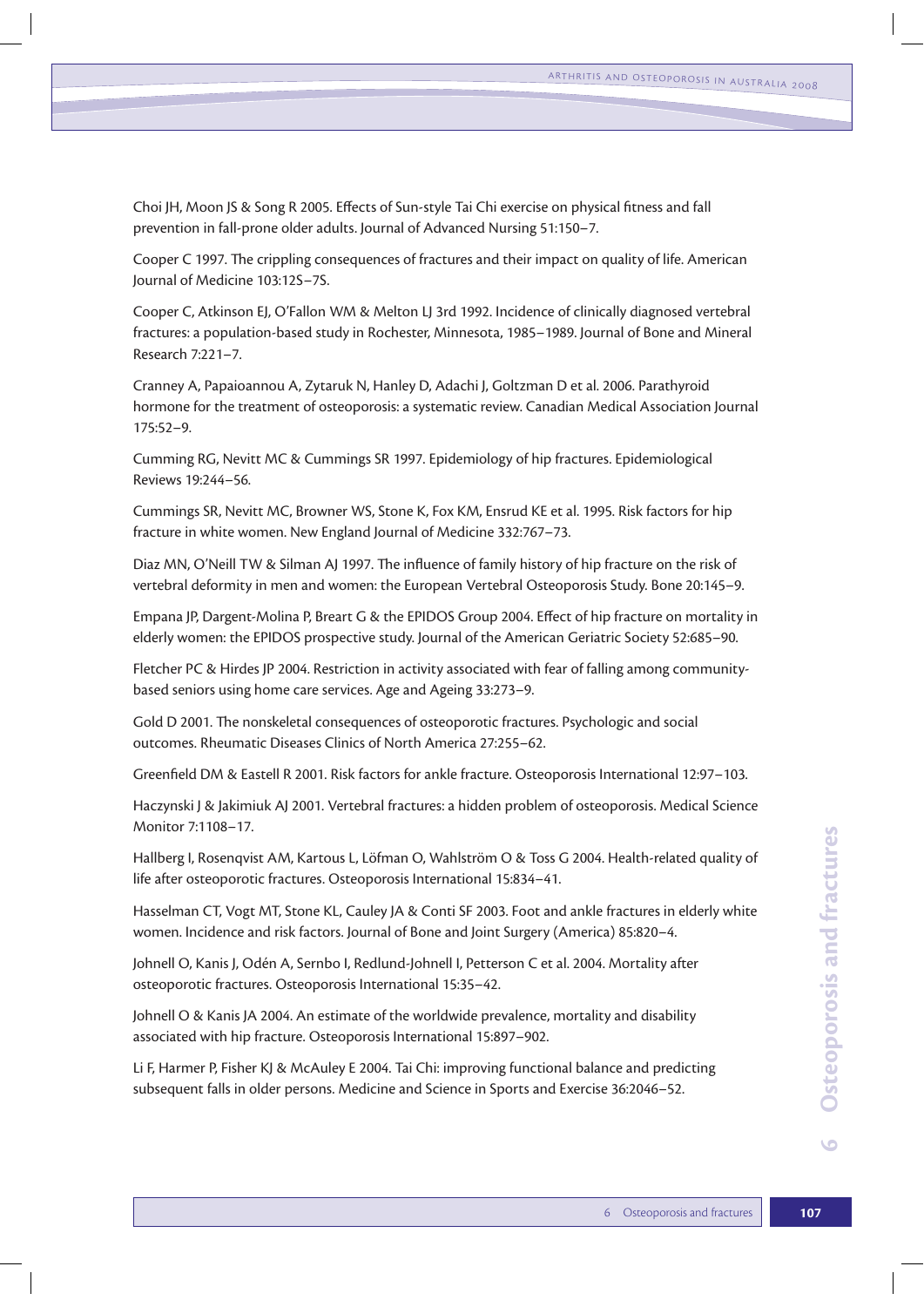Choi JH, Moon JS & Song R 2005. Effects of Sun-style Tai Chi exercise on physical fitness and fall prevention in fall-prone older adults. Journal of Advanced Nursing 51:150–7.

Cooper C 1997. The crippling consequences of fractures and their impact on quality of life. American Journal of Medicine 103:12S–7S.

Cooper C, Atkinson EJ, O'Fallon WM & Melton LJ 3rd 1992. Incidence of clinically diagnosed vertebral fractures: a population-based study in Rochester, Minnesota, 1985–1989. Journal of Bone and Mineral Research 7:221–7.

Cranney A, Papaioannou A, Zytaruk N, Hanley D, Adachi J, Goltzman D et al. 2006. Parathyroid hormone for the treatment of osteoporosis: a systematic review. Canadian Medical Association Journal 175:52–9.

Cumming RG, Nevitt MC & Cummings SR 1997. Epidemiology of hip fractures. Epidemiological Reviews 19:244–56.

Cummings SR, Nevitt MC, Browner WS, Stone K, Fox KM, Ensrud KE et al. 1995. Risk factors for hip fracture in white women. New England Journal of Medicine 332:767–73.

Diaz MN, O'Neill TW & Silman AJ 1997. The influence of family history of hip fracture on the risk of vertebral deformity in men and women: the European Vertebral Osteoporosis Study. Bone 20:145–9.

Empana JP, Dargent-Molina P, Breart G & the EPIDOS Group 2004. Effect of hip fracture on mortality in elderly women: the EPIDOS prospective study. Journal of the American Geriatric Society 52:685–90.

Fletcher PC & Hirdes JP 2004. Restriction in activity associated with fear of falling among communitybased seniors using home care services. Age and Ageing 33:273–9.

Gold D 2001. The nonskeletal consequences of osteoporotic fractures. Psychologic and social outcomes. Rheumatic Diseases Clinics of North America 27:255–62.

Greenfield DM & Eastell R 2001. Risk factors for ankle fracture. Osteoporosis International 12:97–103.

Haczynski J & Jakimiuk AJ 2001. Vertebral fractures: a hidden problem of osteoporosis. Medical Science Monitor 7:1108–17.

Hallberg I, Rosenqvist AM, Kartous L, Löfman O, Wahlström O & Toss G 2004. Health-related quality of life after osteoporotic fractures. Osteoporosis International 15:834–41.

Hasselman CT, Vogt MT, Stone KL, Cauley JA & Conti SF 2003. Foot and ankle fractures in elderly white women. Incidence and risk factors. Journal of Bone and Joint Surgery (America) 85:820–4.

Johnell O, Kanis J, Odén A, Sernbo I, Redlund-Johnell I, Petterson C et al. 2004. Mortality after osteoporotic fractures. Osteoporosis International 15:35–42.

Johnell O & Kanis JA 2004. An estimate of the worldwide prevalence, mortality and disability associated with hip fracture. Osteoporosis International 15:897–902.

Li F, Harmer P, Fisher KJ & McAuley E 2004. Tai Chi: improving functional balance and predicting subsequent falls in older persons. Medicine and Science in Sports and Exercise 36:2046–52.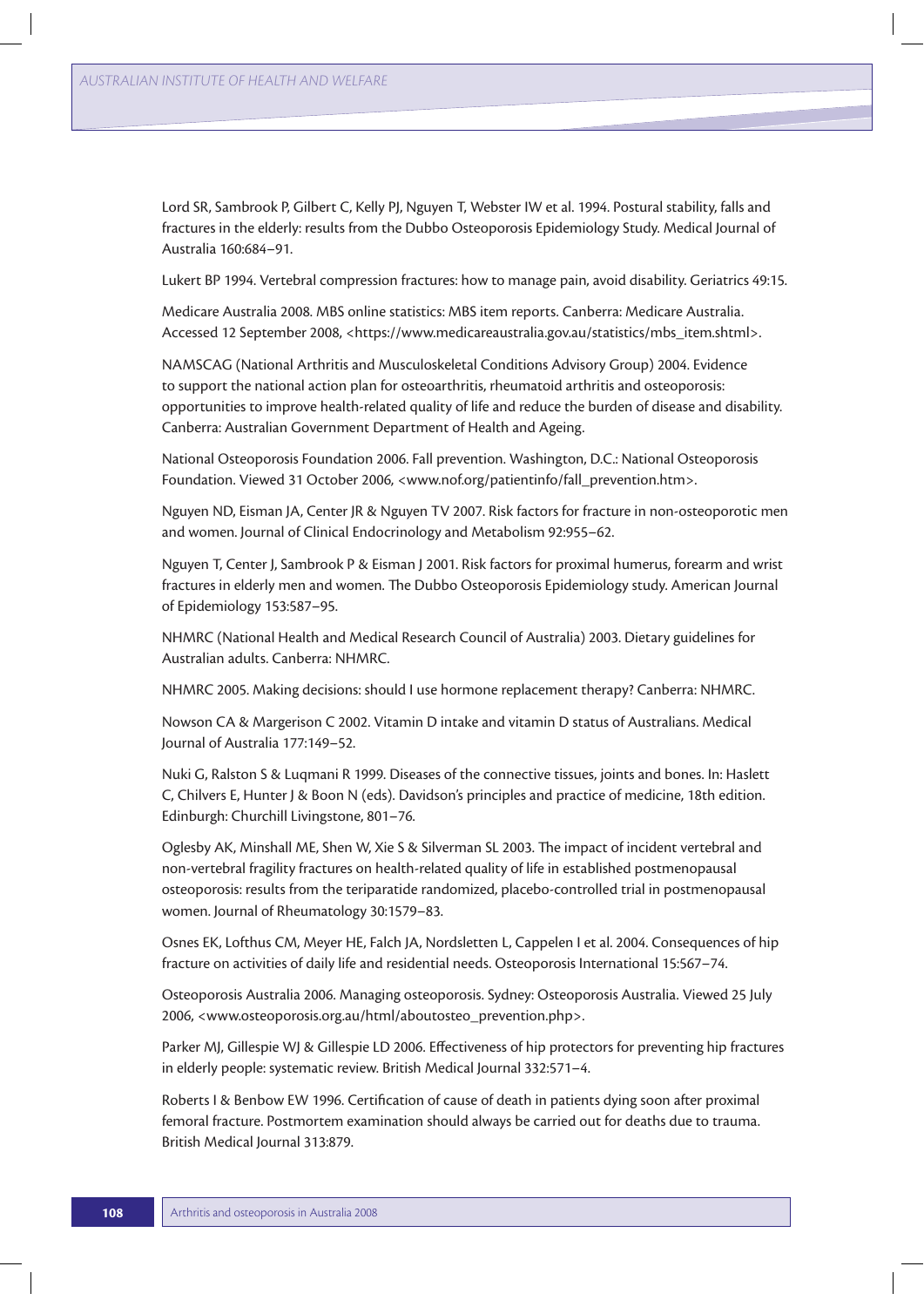Lord SR, Sambrook P, Gilbert C, Kelly PJ, Nguyen T, Webster IW et al. 1994. Postural stability, falls and fractures in the elderly: results from the Dubbo Osteoporosis Epidemiology Study. Medical Journal of Australia 160:684–91.

Lukert BP 1994. Vertebral compression fractures: how to manage pain, avoid disability. Geriatrics 49:15.

Medicare Australia 2008. MBS online statistics: MBS item reports. Canberra: Medicare Australia. Accessed 12 September 2008, <https://www.medicareaustralia.gov.au/statistics/mbs\_item.shtml>.

NAMSCAG (National Arthritis and Musculoskeletal Conditions Advisory Group) 2004. Evidence to support the national action plan for osteoarthritis, rheumatoid arthritis and osteoporosis: opportunities to improve health-related quality of life and reduce the burden of disease and disability. Canberra: Australian Government Department of Health and Ageing.

National Osteoporosis Foundation 2006. Fall prevention. Washington, D.C.: National Osteoporosis Foundation. Viewed 31 October 2006, <www.nof.org/patientinfo/fall\_prevention.htm>.

Nguyen ND, Eisman JA, Center JR & Nguyen TV 2007. Risk factors for fracture in non-osteoporotic men and women. Journal of Clinical Endocrinology and Metabolism 92:955–62.

Nguyen T, Center J, Sambrook P & Eisman J 2001. Risk factors for proximal humerus, forearm and wrist fractures in elderly men and women. The Dubbo Osteoporosis Epidemiology study. American Journal of Epidemiology 153:587–95.

NHMRC (National Health and Medical Research Council of Australia) 2003. Dietary guidelines for Australian adults. Canberra: NHMRC.

NHMRC 2005. Making decisions: should I use hormone replacement therapy? Canberra: NHMRC.

Nowson CA & Margerison C 2002. Vitamin D intake and vitamin D status of Australians. Medical Journal of Australia 177:149–52.

Nuki G, Ralston S & Luqmani R 1999. Diseases of the connective tissues, joints and bones. In: Haslett C, Chilvers E, Hunter J & Boon N (eds). Davidson's principles and practice of medicine, 18th edition. Edinburgh: Churchill Livingstone, 801–76.

Oglesby AK, Minshall ME, Shen W, Xie S & Silverman SL 2003. The impact of incident vertebral and non-vertebral fragility fractures on health-related quality of life in established postmenopausal osteoporosis: results from the teriparatide randomized, placebo-controlled trial in postmenopausal women. Journal of Rheumatology 30:1579–83.

Osnes EK, Lofthus CM, Meyer HE, Falch JA, Nordsletten L, Cappelen I et al. 2004. Consequences of hip fracture on activities of daily life and residential needs. Osteoporosis International 15:567–74.

Osteoporosis Australia 2006. Managing osteoporosis. Sydney: Osteoporosis Australia. Viewed 25 July 2006, <www.osteoporosis.org.au/html/aboutosteo\_prevention.php>.

Parker MJ, Gillespie WJ & Gillespie LD 2006. Effectiveness of hip protectors for preventing hip fractures in elderly people: systematic review. British Medical Journal 332:571–4.

Roberts I & Benbow EW 1996. Certification of cause of death in patients dying soon after proximal femoral fracture. Postmortem examination should always be carried out for deaths due to trauma. British Medical Journal 313:879.